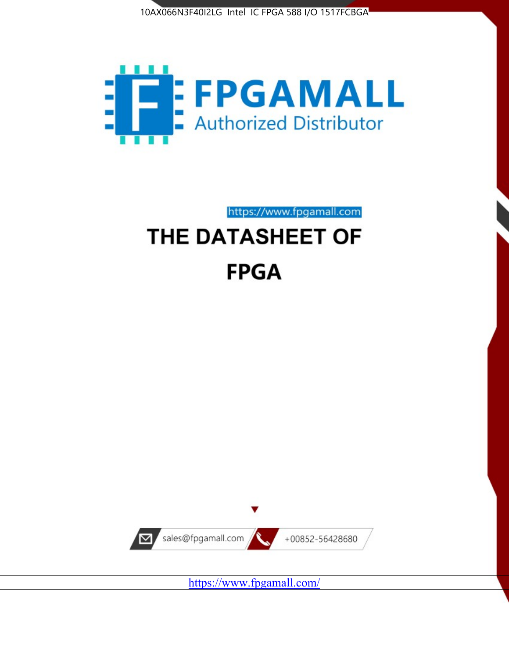



https://www.fpgamall.com

# THE DATASHEET OF **FPGA**



<https://www.fpgamall.com/>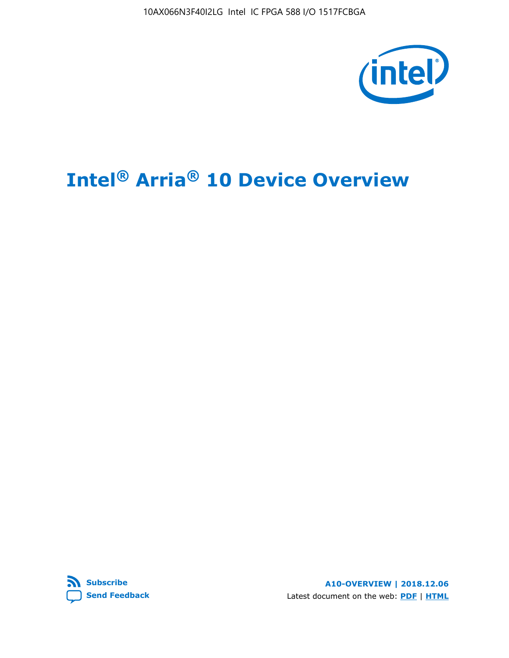10AX066N3F40I2LG Intel IC FPGA 588 I/O 1517FCBGA



# **Intel® Arria® 10 Device Overview**



**A10-OVERVIEW | 2018.12.06** Latest document on the web: **[PDF](https://www.intel.com/content/dam/www/programmable/us/en/pdfs/literature/hb/arria-10/a10_overview.pdf)** | **[HTML](https://www.intel.com/content/www/us/en/programmable/documentation/sam1403480274650.html)**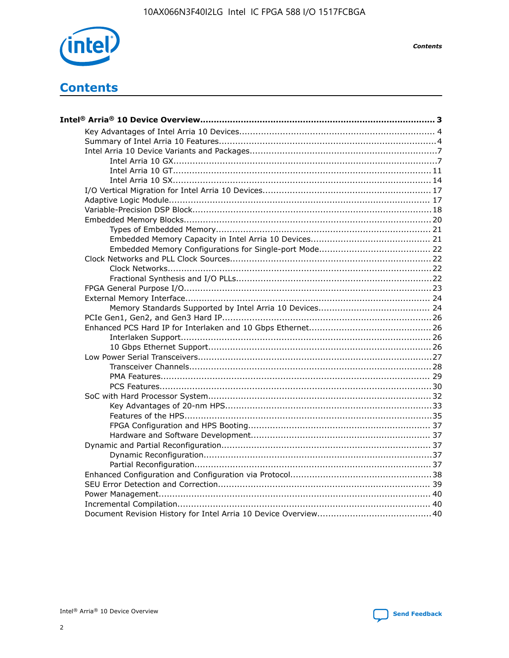

**Contents** 

# **Contents**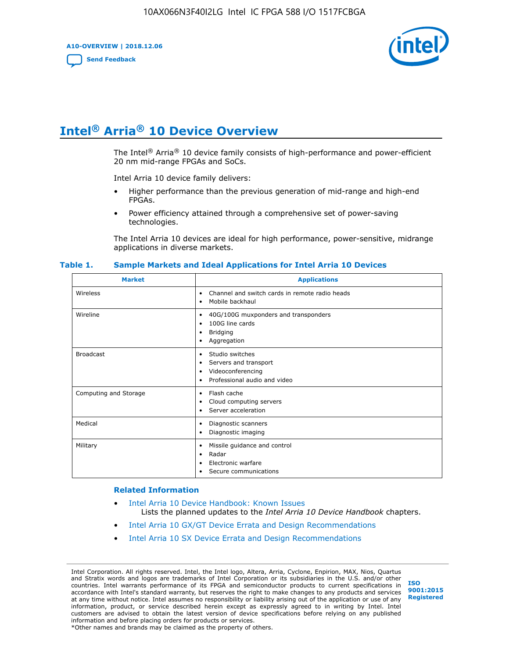**A10-OVERVIEW | 2018.12.06**

**[Send Feedback](mailto:FPGAtechdocfeedback@intel.com?subject=Feedback%20on%20Intel%20Arria%2010%20Device%20Overview%20(A10-OVERVIEW%202018.12.06)&body=We%20appreciate%20your%20feedback.%20In%20your%20comments,%20also%20specify%20the%20page%20number%20or%20paragraph.%20Thank%20you.)**



# **Intel® Arria® 10 Device Overview**

The Intel<sup>®</sup> Arria<sup>®</sup> 10 device family consists of high-performance and power-efficient 20 nm mid-range FPGAs and SoCs.

Intel Arria 10 device family delivers:

- Higher performance than the previous generation of mid-range and high-end FPGAs.
- Power efficiency attained through a comprehensive set of power-saving technologies.

The Intel Arria 10 devices are ideal for high performance, power-sensitive, midrange applications in diverse markets.

| <b>Market</b>         | <b>Applications</b>                                                                                               |
|-----------------------|-------------------------------------------------------------------------------------------------------------------|
| Wireless              | Channel and switch cards in remote radio heads<br>٠<br>Mobile backhaul<br>٠                                       |
| Wireline              | 40G/100G muxponders and transponders<br>٠<br>100G line cards<br>٠<br><b>Bridging</b><br>٠<br>Aggregation<br>٠     |
| <b>Broadcast</b>      | Studio switches<br>٠<br>Servers and transport<br>٠<br>Videoconferencing<br>٠<br>Professional audio and video<br>٠ |
| Computing and Storage | Flash cache<br>٠<br>Cloud computing servers<br>٠<br>Server acceleration<br>٠                                      |
| Medical               | Diagnostic scanners<br>٠<br>Diagnostic imaging<br>$\bullet$                                                       |
| Military              | Missile guidance and control<br>٠<br>Radar<br>٠<br>Electronic warfare<br>٠<br>Secure communications<br>٠          |

#### **Table 1. Sample Markets and Ideal Applications for Intel Arria 10 Devices**

#### **Related Information**

- [Intel Arria 10 Device Handbook: Known Issues](http://www.altera.com/support/kdb/solutions/rd07302013_646.html) Lists the planned updates to the *Intel Arria 10 Device Handbook* chapters.
- [Intel Arria 10 GX/GT Device Errata and Design Recommendations](https://www.intel.com/content/www/us/en/programmable/documentation/agz1493851706374.html#yqz1494433888646)
- [Intel Arria 10 SX Device Errata and Design Recommendations](https://www.intel.com/content/www/us/en/programmable/documentation/cru1462832385668.html#cru1462832558642)

Intel Corporation. All rights reserved. Intel, the Intel logo, Altera, Arria, Cyclone, Enpirion, MAX, Nios, Quartus and Stratix words and logos are trademarks of Intel Corporation or its subsidiaries in the U.S. and/or other countries. Intel warrants performance of its FPGA and semiconductor products to current specifications in accordance with Intel's standard warranty, but reserves the right to make changes to any products and services at any time without notice. Intel assumes no responsibility or liability arising out of the application or use of any information, product, or service described herein except as expressly agreed to in writing by Intel. Intel customers are advised to obtain the latest version of device specifications before relying on any published information and before placing orders for products or services. \*Other names and brands may be claimed as the property of others.

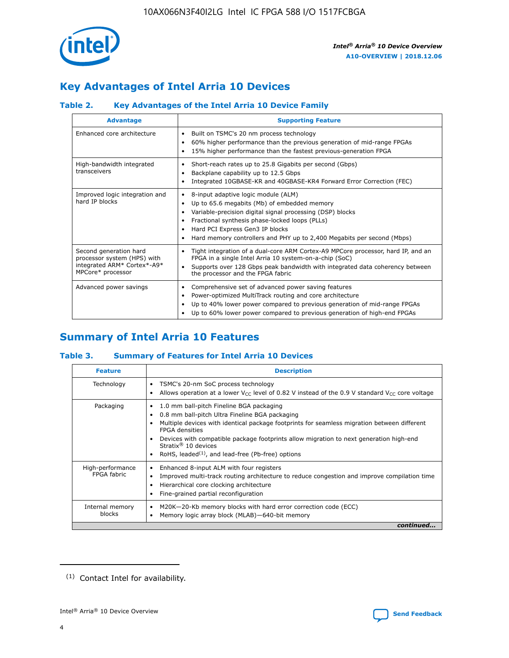

# **Key Advantages of Intel Arria 10 Devices**

# **Table 2. Key Advantages of the Intel Arria 10 Device Family**

| <b>Advantage</b>                                                                                          | <b>Supporting Feature</b>                                                                                                                                                                                                                                                                                                |
|-----------------------------------------------------------------------------------------------------------|--------------------------------------------------------------------------------------------------------------------------------------------------------------------------------------------------------------------------------------------------------------------------------------------------------------------------|
| Enhanced core architecture                                                                                | Built on TSMC's 20 nm process technology<br>٠<br>60% higher performance than the previous generation of mid-range FPGAs<br>٠<br>15% higher performance than the fastest previous-generation FPGA<br>٠                                                                                                                    |
| High-bandwidth integrated<br>transceivers                                                                 | Short-reach rates up to 25.8 Gigabits per second (Gbps)<br>٠<br>Backplane capability up to 12.5 Gbps<br>٠<br>Integrated 10GBASE-KR and 40GBASE-KR4 Forward Error Correction (FEC)<br>٠                                                                                                                                   |
| Improved logic integration and<br>hard IP blocks                                                          | 8-input adaptive logic module (ALM)<br>٠<br>Up to 65.6 megabits (Mb) of embedded memory<br>٠<br>Variable-precision digital signal processing (DSP) blocks<br>Fractional synthesis phase-locked loops (PLLs)<br>Hard PCI Express Gen3 IP blocks<br>Hard memory controllers and PHY up to 2,400 Megabits per second (Mbps) |
| Second generation hard<br>processor system (HPS) with<br>integrated ARM* Cortex*-A9*<br>MPCore* processor | Tight integration of a dual-core ARM Cortex-A9 MPCore processor, hard IP, and an<br>٠<br>FPGA in a single Intel Arria 10 system-on-a-chip (SoC)<br>Supports over 128 Gbps peak bandwidth with integrated data coherency between<br>$\bullet$<br>the processor and the FPGA fabric                                        |
| Advanced power savings                                                                                    | Comprehensive set of advanced power saving features<br>٠<br>Power-optimized MultiTrack routing and core architecture<br>٠<br>Up to 40% lower power compared to previous generation of mid-range FPGAs<br>Up to 60% lower power compared to previous generation of high-end FPGAs                                         |

# **Summary of Intel Arria 10 Features**

## **Table 3. Summary of Features for Intel Arria 10 Devices**

| <b>Feature</b>                  | <b>Description</b>                                                                                                                                                                                                                                                                                                                                                                                           |
|---------------------------------|--------------------------------------------------------------------------------------------------------------------------------------------------------------------------------------------------------------------------------------------------------------------------------------------------------------------------------------------------------------------------------------------------------------|
| Technology                      | TSMC's 20-nm SoC process technology<br>Allows operation at a lower $V_{\text{CC}}$ level of 0.82 V instead of the 0.9 V standard $V_{\text{CC}}$ core voltage                                                                                                                                                                                                                                                |
| Packaging                       | 1.0 mm ball-pitch Fineline BGA packaging<br>٠<br>0.8 mm ball-pitch Ultra Fineline BGA packaging<br>Multiple devices with identical package footprints for seamless migration between different<br><b>FPGA</b> densities<br>Devices with compatible package footprints allow migration to next generation high-end<br>Stratix <sup>®</sup> 10 devices<br>RoHS, leaded $(1)$ , and lead-free (Pb-free) options |
| High-performance<br>FPGA fabric | Enhanced 8-input ALM with four registers<br>Improved multi-track routing architecture to reduce congestion and improve compilation time<br>Hierarchical core clocking architecture<br>Fine-grained partial reconfiguration                                                                                                                                                                                   |
| Internal memory<br>blocks       | M20K-20-Kb memory blocks with hard error correction code (ECC)<br>Memory logic array block (MLAB)-640-bit memory                                                                                                                                                                                                                                                                                             |
|                                 | continued                                                                                                                                                                                                                                                                                                                                                                                                    |



<sup>(1)</sup> Contact Intel for availability.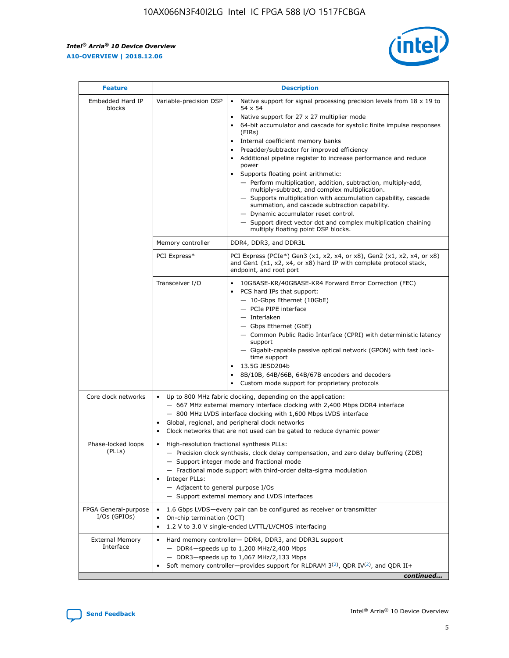r



| <b>Feature</b>                         | <b>Description</b>                                                                                     |                                                                                                                                                                                                                                                                                                                                                                                                                                                                                                                                                                                                                                                                                                                                                                                                                                                                               |  |  |  |  |  |
|----------------------------------------|--------------------------------------------------------------------------------------------------------|-------------------------------------------------------------------------------------------------------------------------------------------------------------------------------------------------------------------------------------------------------------------------------------------------------------------------------------------------------------------------------------------------------------------------------------------------------------------------------------------------------------------------------------------------------------------------------------------------------------------------------------------------------------------------------------------------------------------------------------------------------------------------------------------------------------------------------------------------------------------------------|--|--|--|--|--|
| Embedded Hard IP<br>blocks             | Variable-precision DSP                                                                                 | Native support for signal processing precision levels from $18 \times 19$ to<br>$\bullet$<br>54 x 54<br>Native support for 27 x 27 multiplier mode<br>$\bullet$<br>64-bit accumulator and cascade for systolic finite impulse responses<br>$\bullet$<br>(FIRs)<br>Internal coefficient memory banks<br>$\bullet$<br>Preadder/subtractor for improved efficiency<br>Additional pipeline register to increase performance and reduce<br>power<br>Supports floating point arithmetic:<br>- Perform multiplication, addition, subtraction, multiply-add,<br>multiply-subtract, and complex multiplication.<br>- Supports multiplication with accumulation capability, cascade<br>summation, and cascade subtraction capability.<br>- Dynamic accumulator reset control.<br>- Support direct vector dot and complex multiplication chaining<br>multiply floating point DSP blocks. |  |  |  |  |  |
|                                        | Memory controller                                                                                      | DDR4, DDR3, and DDR3L                                                                                                                                                                                                                                                                                                                                                                                                                                                                                                                                                                                                                                                                                                                                                                                                                                                         |  |  |  |  |  |
|                                        | PCI Express*                                                                                           | PCI Express (PCIe*) Gen3 (x1, x2, x4, or x8), Gen2 (x1, x2, x4, or x8)<br>and Gen1 (x1, x2, x4, or x8) hard IP with complete protocol stack,<br>endpoint, and root port                                                                                                                                                                                                                                                                                                                                                                                                                                                                                                                                                                                                                                                                                                       |  |  |  |  |  |
|                                        | Transceiver I/O                                                                                        | 10GBASE-KR/40GBASE-KR4 Forward Error Correction (FEC)<br>PCS hard IPs that support:<br>٠<br>- 10-Gbps Ethernet (10GbE)<br>- PCIe PIPE interface<br>- Interlaken<br>- Gbps Ethernet (GbE)<br>- Common Public Radio Interface (CPRI) with deterministic latency<br>support<br>- Gigabit-capable passive optical network (GPON) with fast lock-<br>time support<br>13.5G JESD204b<br>$\bullet$<br>8B/10B, 64B/66B, 64B/67B encoders and decoders<br>$\bullet$<br>Custom mode support for proprietary protocols                                                                                                                                                                                                                                                                                                                                                                   |  |  |  |  |  |
| Core clock networks                    | $\bullet$                                                                                              | Up to 800 MHz fabric clocking, depending on the application:<br>- 667 MHz external memory interface clocking with 2,400 Mbps DDR4 interface<br>- 800 MHz LVDS interface clocking with 1,600 Mbps LVDS interface<br>Global, regional, and peripheral clock networks<br>Clock networks that are not used can be gated to reduce dynamic power                                                                                                                                                                                                                                                                                                                                                                                                                                                                                                                                   |  |  |  |  |  |
| Phase-locked loops<br>(PLLs)           | High-resolution fractional synthesis PLLs:<br>٠<br>Integer PLLs:<br>- Adjacent to general purpose I/Os | - Precision clock synthesis, clock delay compensation, and zero delay buffering (ZDB)<br>- Support integer mode and fractional mode<br>- Fractional mode support with third-order delta-sigma modulation<br>- Support external memory and LVDS interfaces                                                                                                                                                                                                                                                                                                                                                                                                                                                                                                                                                                                                                     |  |  |  |  |  |
| FPGA General-purpose<br>$I/Os$ (GPIOs) | On-chip termination (OCT)<br>٠                                                                         | 1.6 Gbps LVDS-every pair can be configured as receiver or transmitter<br>1.2 V to 3.0 V single-ended LVTTL/LVCMOS interfacing                                                                                                                                                                                                                                                                                                                                                                                                                                                                                                                                                                                                                                                                                                                                                 |  |  |  |  |  |
| <b>External Memory</b><br>Interface    | $\bullet$                                                                                              | Hard memory controller- DDR4, DDR3, and DDR3L support<br>$-$ DDR4 $-$ speeds up to 1,200 MHz/2,400 Mbps<br>- DDR3-speeds up to 1,067 MHz/2,133 Mbps<br>Soft memory controller—provides support for RLDRAM $3^{(2)}$ , QDR IV $^{(2)}$ , and QDR II+<br>continued                                                                                                                                                                                                                                                                                                                                                                                                                                                                                                                                                                                                              |  |  |  |  |  |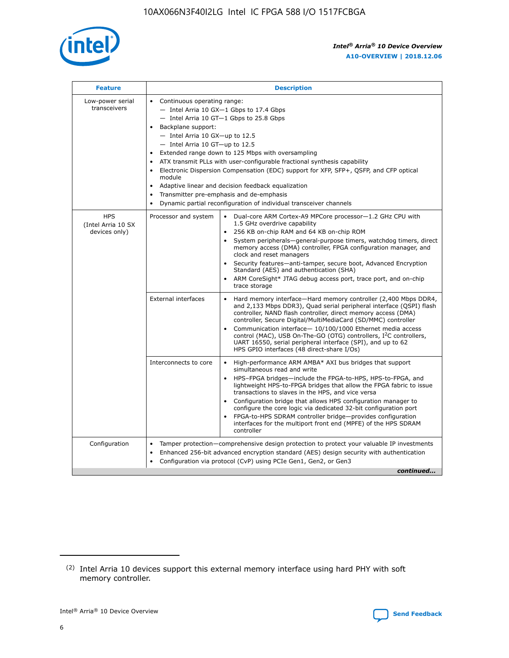

| <b>Feature</b>                                    | <b>Description</b>                                                                                                                                                                                                                                                                                                                                                                                                                                                                                                                                                                                                                                    |
|---------------------------------------------------|-------------------------------------------------------------------------------------------------------------------------------------------------------------------------------------------------------------------------------------------------------------------------------------------------------------------------------------------------------------------------------------------------------------------------------------------------------------------------------------------------------------------------------------------------------------------------------------------------------------------------------------------------------|
| Low-power serial<br>transceivers                  | • Continuous operating range:<br>- Intel Arria 10 GX-1 Gbps to 17.4 Gbps<br>- Intel Arria 10 GT-1 Gbps to 25.8 Gbps<br>Backplane support:<br>$-$ Intel Arria 10 GX-up to 12.5<br>- Intel Arria 10 GT-up to 12.5<br>Extended range down to 125 Mbps with oversampling<br>ATX transmit PLLs with user-configurable fractional synthesis capability<br>Electronic Dispersion Compensation (EDC) support for XFP, SFP+, QSFP, and CFP optical<br>module<br>Adaptive linear and decision feedback equalization<br>$\bullet$<br>Transmitter pre-emphasis and de-emphasis<br>$\bullet$<br>Dynamic partial reconfiguration of individual transceiver channels |
| <b>HPS</b><br>(Intel Arria 10 SX<br>devices only) | • Dual-core ARM Cortex-A9 MPCore processor-1.2 GHz CPU with<br>Processor and system<br>1.5 GHz overdrive capability<br>256 KB on-chip RAM and 64 KB on-chip ROM<br>$\bullet$<br>System peripherals—general-purpose timers, watchdog timers, direct<br>memory access (DMA) controller, FPGA configuration manager, and<br>clock and reset managers<br>Security features—anti-tamper, secure boot, Advanced Encryption<br>$\bullet$<br>Standard (AES) and authentication (SHA)<br>ARM CoreSight* JTAG debug access port, trace port, and on-chip<br>$\bullet$<br>trace storage                                                                          |
|                                                   | <b>External interfaces</b><br>Hard memory interface-Hard memory controller (2,400 Mbps DDR4,<br>$\bullet$<br>and 2,133 Mbps DDR3), Quad serial peripheral interface (QSPI) flash<br>controller, NAND flash controller, direct memory access (DMA)<br>controller, Secure Digital/MultiMediaCard (SD/MMC) controller<br>Communication interface-10/100/1000 Ethernet media access<br>$\bullet$<br>control (MAC), USB On-The-GO (OTG) controllers, I <sup>2</sup> C controllers,<br>UART 16550, serial peripheral interface (SPI), and up to 62<br>HPS GPIO interfaces (48 direct-share I/Os)                                                            |
|                                                   | High-performance ARM AMBA* AXI bus bridges that support<br>Interconnects to core<br>$\bullet$<br>simultaneous read and write<br>HPS-FPGA bridges-include the FPGA-to-HPS, HPS-to-FPGA, and<br>$\bullet$<br>lightweight HPS-to-FPGA bridges that allow the FPGA fabric to issue<br>transactions to slaves in the HPS, and vice versa<br>Configuration bridge that allows HPS configuration manager to<br>configure the core logic via dedicated 32-bit configuration port<br>FPGA-to-HPS SDRAM controller bridge-provides configuration<br>interfaces for the multiport front end (MPFE) of the HPS SDRAM<br>controller                                |
| Configuration                                     | Tamper protection—comprehensive design protection to protect your valuable IP investments<br>Enhanced 256-bit advanced encryption standard (AES) design security with authentication<br>٠<br>Configuration via protocol (CvP) using PCIe Gen1, Gen2, or Gen3<br>continued                                                                                                                                                                                                                                                                                                                                                                             |

<sup>(2)</sup> Intel Arria 10 devices support this external memory interface using hard PHY with soft memory controller.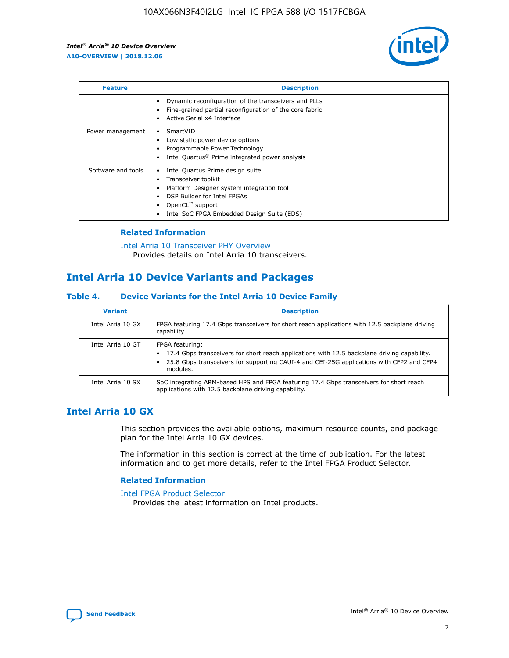

| <b>Feature</b>     | <b>Description</b>                                                                                                                                                                                               |
|--------------------|------------------------------------------------------------------------------------------------------------------------------------------------------------------------------------------------------------------|
|                    | Dynamic reconfiguration of the transceivers and PLLs<br>Fine-grained partial reconfiguration of the core fabric<br>Active Serial x4 Interface<br>$\bullet$                                                       |
| Power management   | SmartVID<br>Low static power device options<br>Programmable Power Technology<br>Intel Quartus <sup>®</sup> Prime integrated power analysis                                                                       |
| Software and tools | Intel Quartus Prime design suite<br>Transceiver toolkit<br>Platform Designer system integration tool<br>DSP Builder for Intel FPGAs<br>OpenCL <sup>™</sup> support<br>Intel SoC FPGA Embedded Design Suite (EDS) |

## **Related Information**

[Intel Arria 10 Transceiver PHY Overview](https://www.intel.com/content/www/us/en/programmable/documentation/nik1398707230472.html#nik1398706768037) Provides details on Intel Arria 10 transceivers.

# **Intel Arria 10 Device Variants and Packages**

#### **Table 4. Device Variants for the Intel Arria 10 Device Family**

| <b>Variant</b>    | <b>Description</b>                                                                                                                                                                                                     |
|-------------------|------------------------------------------------------------------------------------------------------------------------------------------------------------------------------------------------------------------------|
| Intel Arria 10 GX | FPGA featuring 17.4 Gbps transceivers for short reach applications with 12.5 backplane driving<br>capability.                                                                                                          |
| Intel Arria 10 GT | FPGA featuring:<br>17.4 Gbps transceivers for short reach applications with 12.5 backplane driving capability.<br>25.8 Gbps transceivers for supporting CAUI-4 and CEI-25G applications with CFP2 and CFP4<br>modules. |
| Intel Arria 10 SX | SoC integrating ARM-based HPS and FPGA featuring 17.4 Gbps transceivers for short reach<br>applications with 12.5 backplane driving capability.                                                                        |

# **Intel Arria 10 GX**

This section provides the available options, maximum resource counts, and package plan for the Intel Arria 10 GX devices.

The information in this section is correct at the time of publication. For the latest information and to get more details, refer to the Intel FPGA Product Selector.

#### **Related Information**

#### [Intel FPGA Product Selector](http://www.altera.com/products/selector/psg-selector.html) Provides the latest information on Intel products.

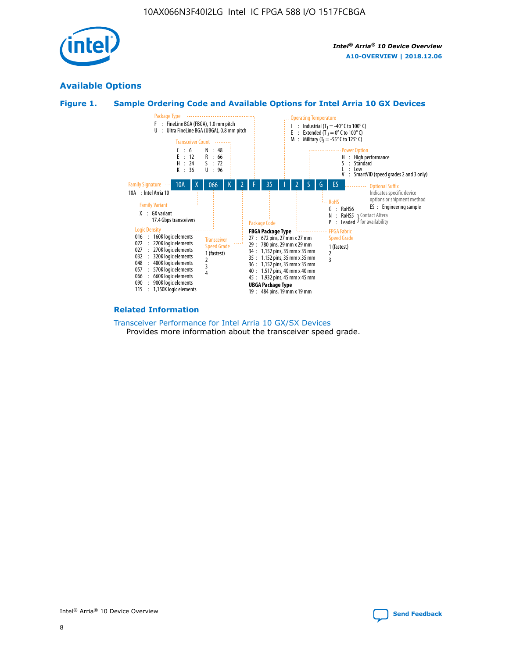

# **Available Options**





#### **Related Information**

[Transceiver Performance for Intel Arria 10 GX/SX Devices](https://www.intel.com/content/www/us/en/programmable/documentation/mcn1413182292568.html#mcn1413213965502) Provides more information about the transceiver speed grade.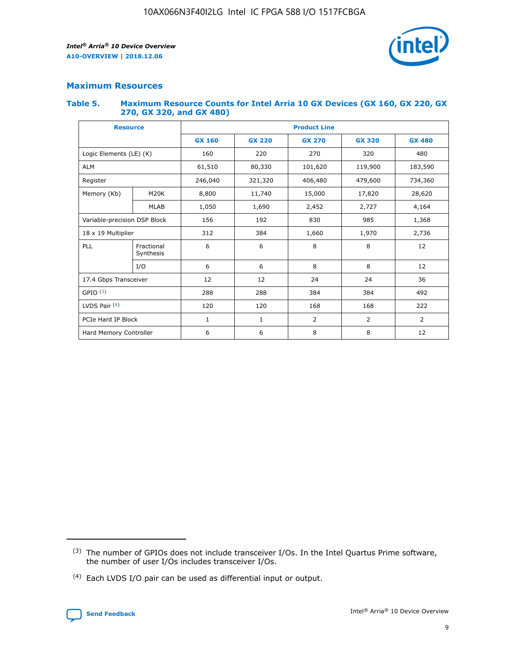

# **Maximum Resources**

#### **Table 5. Maximum Resource Counts for Intel Arria 10 GX Devices (GX 160, GX 220, GX 270, GX 320, and GX 480)**

| <b>Resource</b>         |                              | <b>Product Line</b> |                                                 |                |                |                |  |  |
|-------------------------|------------------------------|---------------------|-------------------------------------------------|----------------|----------------|----------------|--|--|
|                         |                              | <b>GX 160</b>       | <b>GX 220</b><br><b>GX 270</b><br><b>GX 320</b> |                |                | <b>GX 480</b>  |  |  |
| Logic Elements (LE) (K) |                              | 160                 | 220                                             | 270            | 320            | 480            |  |  |
| <b>ALM</b>              |                              | 61,510              | 80,330                                          | 101,620        | 119,900        | 183,590        |  |  |
| Register                |                              | 246,040             | 321,320                                         | 406,480        | 479,600        | 734,360        |  |  |
| Memory (Kb)             | M <sub>20</sub> K            | 8,800               | 11,740                                          | 15,000         | 17,820         | 28,620         |  |  |
|                         | <b>MLAB</b>                  | 1,050               | 1,690                                           | 2,452          | 2,727          | 4,164          |  |  |
|                         | Variable-precision DSP Block |                     | 192                                             | 830<br>985     |                | 1,368          |  |  |
| 18 x 19 Multiplier      |                              | 312                 | 384                                             | 1,970<br>1,660 |                | 2,736          |  |  |
| PLL                     | Fractional<br>Synthesis      | 6                   | 6                                               | 8              | 8              | 12             |  |  |
|                         | I/O                          | 6                   | 6                                               | 8              | 8              | 12             |  |  |
| 17.4 Gbps Transceiver   |                              | 12                  | 12                                              | 24             | 24             | 36             |  |  |
| GPIO <sup>(3)</sup>     |                              | 288                 | 288                                             | 384            | 384            | 492            |  |  |
| LVDS Pair $(4)$         |                              | 120                 | 120                                             | 168            | 168            | 222            |  |  |
| PCIe Hard IP Block      |                              | 1                   | 1                                               | 2              | $\overline{2}$ | $\overline{2}$ |  |  |
| Hard Memory Controller  |                              | 6                   | 6                                               | 8              | 8              | 12             |  |  |

<sup>(4)</sup> Each LVDS I/O pair can be used as differential input or output.



<sup>(3)</sup> The number of GPIOs does not include transceiver I/Os. In the Intel Quartus Prime software, the number of user I/Os includes transceiver I/Os.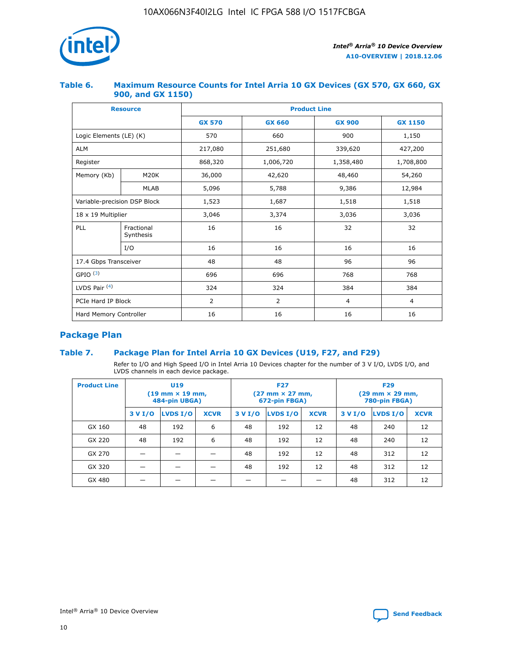

## **Table 6. Maximum Resource Counts for Intel Arria 10 GX Devices (GX 570, GX 660, GX 900, and GX 1150)**

|                              | <b>Resource</b>         | <b>Product Line</b> |                |                |                |  |  |  |
|------------------------------|-------------------------|---------------------|----------------|----------------|----------------|--|--|--|
|                              |                         | <b>GX 570</b>       | <b>GX 660</b>  |                | <b>GX 1150</b> |  |  |  |
| Logic Elements (LE) (K)      |                         | 570                 | 660            | 900            | 1,150          |  |  |  |
| <b>ALM</b>                   |                         | 217,080             | 251,680        | 339,620        | 427,200        |  |  |  |
| Register                     |                         | 868,320             | 1,006,720      | 1,358,480      | 1,708,800      |  |  |  |
| Memory (Kb)                  | <b>M20K</b>             | 36,000              | 42,620         | 48,460         | 54,260         |  |  |  |
|                              | <b>MLAB</b>             | 5,096               | 5,788          | 9,386          | 12,984         |  |  |  |
| Variable-precision DSP Block |                         | 1,523               | 1,687          | 1,518          | 1,518          |  |  |  |
| $18 \times 19$ Multiplier    |                         | 3,046               | 3,374          | 3,036          | 3,036          |  |  |  |
| PLL                          | Fractional<br>Synthesis | 16                  | 16             | 32             | 32             |  |  |  |
|                              | I/O                     | 16                  | 16             | 16             | 16             |  |  |  |
| 17.4 Gbps Transceiver        |                         | 48                  | 48             |                | 96             |  |  |  |
| GPIO <sup>(3)</sup>          |                         | 696                 | 696            | 768            | 768            |  |  |  |
| LVDS Pair $(4)$              |                         | 324                 | 324            |                | 384            |  |  |  |
| PCIe Hard IP Block           |                         | 2                   | $\overline{2}$ | $\overline{4}$ | 4              |  |  |  |
| Hard Memory Controller       |                         | 16                  | 16             | 16             | 16             |  |  |  |

# **Package Plan**

# **Table 7. Package Plan for Intel Arria 10 GX Devices (U19, F27, and F29)**

Refer to I/O and High Speed I/O in Intel Arria 10 Devices chapter for the number of 3 V I/O, LVDS I/O, and LVDS channels in each device package.

| <b>Product Line</b> | U <sub>19</sub><br>$(19 \text{ mm} \times 19 \text{ mm})$<br>484-pin UBGA) |          |             |         | <b>F27</b><br>(27 mm × 27 mm,<br>672-pin FBGA) |             | <b>F29</b><br>(29 mm × 29 mm,<br>780-pin FBGA) |          |             |  |
|---------------------|----------------------------------------------------------------------------|----------|-------------|---------|------------------------------------------------|-------------|------------------------------------------------|----------|-------------|--|
|                     | 3 V I/O                                                                    | LVDS I/O | <b>XCVR</b> | 3 V I/O | LVDS I/O                                       | <b>XCVR</b> | 3 V I/O                                        | LVDS I/O | <b>XCVR</b> |  |
| GX 160              | 48                                                                         | 192      | 6           | 48      | 192                                            | 12          | 48                                             | 240      | 12          |  |
| GX 220              | 48                                                                         | 192      | 6           | 48      | 192                                            | 12          | 48                                             | 240      | 12          |  |
| GX 270              |                                                                            |          |             | 48      | 192                                            | 12          | 48                                             | 312      | 12          |  |
| GX 320              |                                                                            |          |             | 48      | 192                                            | 12          | 48                                             | 312      | 12          |  |
| GX 480              |                                                                            |          |             |         |                                                |             | 48                                             | 312      | 12          |  |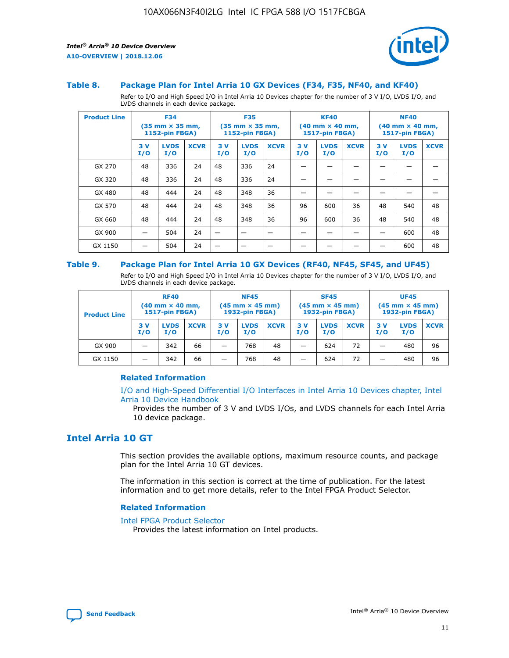



#### **Table 8. Package Plan for Intel Arria 10 GX Devices (F34, F35, NF40, and KF40)**

Refer to I/O and High Speed I/O in Intel Arria 10 Devices chapter for the number of 3 V I/O, LVDS I/O, and LVDS channels in each device package.

| <b>Product Line</b> | <b>F34</b><br>$(35 \text{ mm} \times 35 \text{ mm})$<br><b>1152-pin FBGA)</b> |                    | <b>F35</b><br>$(35 \text{ mm} \times 35 \text{ mm})$<br><b>1152-pin FBGA)</b> |           | <b>KF40</b><br>$(40 \text{ mm} \times 40 \text{ mm})$<br>1517-pin FBGA) |             |           | <b>NF40</b><br>$(40 \text{ mm} \times 40 \text{ mm})$<br>1517-pin FBGA) |             |           |                    |             |
|---------------------|-------------------------------------------------------------------------------|--------------------|-------------------------------------------------------------------------------|-----------|-------------------------------------------------------------------------|-------------|-----------|-------------------------------------------------------------------------|-------------|-----------|--------------------|-------------|
|                     | 3V<br>I/O                                                                     | <b>LVDS</b><br>I/O | <b>XCVR</b>                                                                   | 3V<br>I/O | <b>LVDS</b><br>I/O                                                      | <b>XCVR</b> | 3V<br>I/O | <b>LVDS</b><br>I/O                                                      | <b>XCVR</b> | 3V<br>I/O | <b>LVDS</b><br>I/O | <b>XCVR</b> |
| GX 270              | 48                                                                            | 336                | 24                                                                            | 48        | 336                                                                     | 24          |           |                                                                         |             |           |                    |             |
| GX 320              | 48                                                                            | 336                | 24                                                                            | 48        | 336                                                                     | 24          |           |                                                                         |             |           |                    |             |
| GX 480              | 48                                                                            | 444                | 24                                                                            | 48        | 348                                                                     | 36          |           |                                                                         |             |           |                    |             |
| GX 570              | 48                                                                            | 444                | 24                                                                            | 48        | 348                                                                     | 36          | 96        | 600                                                                     | 36          | 48        | 540                | 48          |
| GX 660              | 48                                                                            | 444                | 24                                                                            | 48        | 348                                                                     | 36          | 96        | 600                                                                     | 36          | 48        | 540                | 48          |
| GX 900              |                                                                               | 504                | 24                                                                            | –         |                                                                         | -           |           |                                                                         |             |           | 600                | 48          |
| GX 1150             |                                                                               | 504                | 24                                                                            |           |                                                                         |             |           |                                                                         |             |           | 600                | 48          |

#### **Table 9. Package Plan for Intel Arria 10 GX Devices (RF40, NF45, SF45, and UF45)**

Refer to I/O and High Speed I/O in Intel Arria 10 Devices chapter for the number of 3 V I/O, LVDS I/O, and LVDS channels in each device package.

| <b>Product Line</b> | <b>RF40</b><br>$(40$ mm $\times$ 40 mm,<br>1517-pin FBGA) |                    |             | <b>NF45</b><br>$(45 \text{ mm} \times 45 \text{ mm})$<br><b>1932-pin FBGA)</b> |                    |             | <b>SF45</b><br>$(45 \text{ mm} \times 45 \text{ mm})$<br><b>1932-pin FBGA)</b> |                    |             | <b>UF45</b><br>$(45 \text{ mm} \times 45 \text{ mm})$<br><b>1932-pin FBGA)</b> |                    |             |
|---------------------|-----------------------------------------------------------|--------------------|-------------|--------------------------------------------------------------------------------|--------------------|-------------|--------------------------------------------------------------------------------|--------------------|-------------|--------------------------------------------------------------------------------|--------------------|-------------|
|                     | 3V<br>I/O                                                 | <b>LVDS</b><br>I/O | <b>XCVR</b> | 3 V<br>I/O                                                                     | <b>LVDS</b><br>I/O | <b>XCVR</b> | 3 V<br>I/O                                                                     | <b>LVDS</b><br>I/O | <b>XCVR</b> | 3V<br>I/O                                                                      | <b>LVDS</b><br>I/O | <b>XCVR</b> |
| GX 900              |                                                           | 342                | 66          | _                                                                              | 768                | 48          |                                                                                | 624                | 72          |                                                                                | 480                | 96          |
| GX 1150             |                                                           | 342                | 66          | _                                                                              | 768                | 48          |                                                                                | 624                | 72          |                                                                                | 480                | 96          |

## **Related Information**

[I/O and High-Speed Differential I/O Interfaces in Intel Arria 10 Devices chapter, Intel](https://www.intel.com/content/www/us/en/programmable/documentation/sam1403482614086.html#sam1403482030321) [Arria 10 Device Handbook](https://www.intel.com/content/www/us/en/programmable/documentation/sam1403482614086.html#sam1403482030321)

Provides the number of 3 V and LVDS I/Os, and LVDS channels for each Intel Arria 10 device package.

# **Intel Arria 10 GT**

This section provides the available options, maximum resource counts, and package plan for the Intel Arria 10 GT devices.

The information in this section is correct at the time of publication. For the latest information and to get more details, refer to the Intel FPGA Product Selector.

#### **Related Information**

#### [Intel FPGA Product Selector](http://www.altera.com/products/selector/psg-selector.html)

Provides the latest information on Intel products.

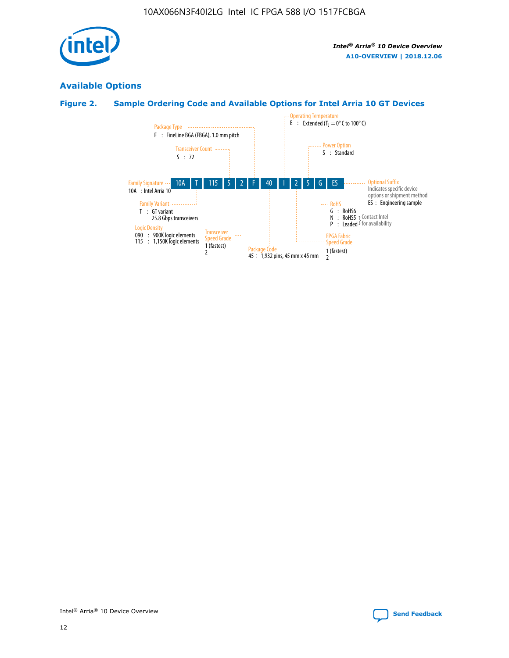

# **Available Options**

# **Figure 2. Sample Ordering Code and Available Options for Intel Arria 10 GT Devices**

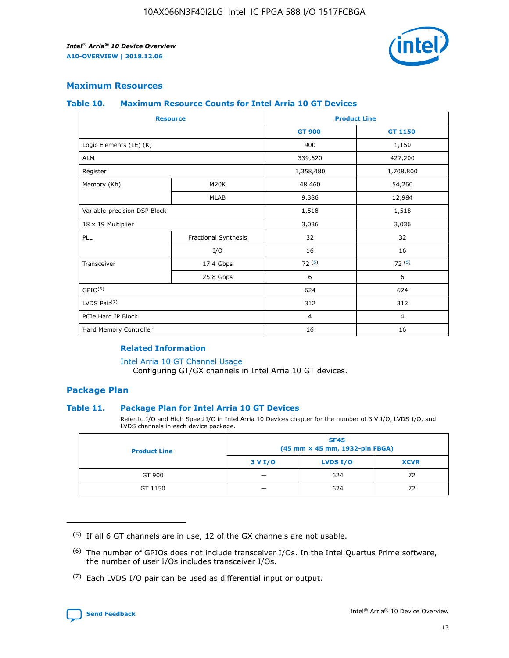

## **Maximum Resources**

#### **Table 10. Maximum Resource Counts for Intel Arria 10 GT Devices**

| <b>Resource</b>              |                      |                | <b>Product Line</b> |  |
|------------------------------|----------------------|----------------|---------------------|--|
|                              |                      | <b>GT 900</b>  | GT 1150             |  |
| Logic Elements (LE) (K)      |                      | 900            | 1,150               |  |
| <b>ALM</b>                   |                      | 339,620        | 427,200             |  |
| Register                     |                      | 1,358,480      | 1,708,800           |  |
| Memory (Kb)                  | M20K                 | 48,460         | 54,260              |  |
|                              | <b>MLAB</b>          | 9,386          | 12,984              |  |
| Variable-precision DSP Block |                      | 1,518          | 1,518               |  |
| 18 x 19 Multiplier           |                      | 3,036          | 3,036               |  |
| PLL                          | Fractional Synthesis | 32             | 32                  |  |
|                              | I/O                  | 16             | 16                  |  |
| Transceiver                  | 17.4 Gbps            | 72(5)          | 72(5)               |  |
|                              | 25.8 Gbps            | 6              | 6                   |  |
| GPIO <sup>(6)</sup>          |                      | 624            | 624                 |  |
| LVDS Pair $(7)$              |                      | 312            | 312                 |  |
| PCIe Hard IP Block           |                      | $\overline{4}$ | $\overline{4}$      |  |
| Hard Memory Controller       |                      | 16             | 16                  |  |

## **Related Information**

#### [Intel Arria 10 GT Channel Usage](https://www.intel.com/content/www/us/en/programmable/documentation/nik1398707230472.html#nik1398707008178)

Configuring GT/GX channels in Intel Arria 10 GT devices.

## **Package Plan**

## **Table 11. Package Plan for Intel Arria 10 GT Devices**

Refer to I/O and High Speed I/O in Intel Arria 10 Devices chapter for the number of 3 V I/O, LVDS I/O, and LVDS channels in each device package.

| <b>Product Line</b> | <b>SF45</b><br>(45 mm × 45 mm, 1932-pin FBGA) |                 |             |  |  |  |
|---------------------|-----------------------------------------------|-----------------|-------------|--|--|--|
|                     | 3 V I/O                                       | <b>LVDS I/O</b> | <b>XCVR</b> |  |  |  |
| GT 900              |                                               | 624             | 72          |  |  |  |
| GT 1150             |                                               | 624             | 72          |  |  |  |

<sup>(7)</sup> Each LVDS I/O pair can be used as differential input or output.



 $(5)$  If all 6 GT channels are in use, 12 of the GX channels are not usable.

<sup>(6)</sup> The number of GPIOs does not include transceiver I/Os. In the Intel Quartus Prime software, the number of user I/Os includes transceiver I/Os.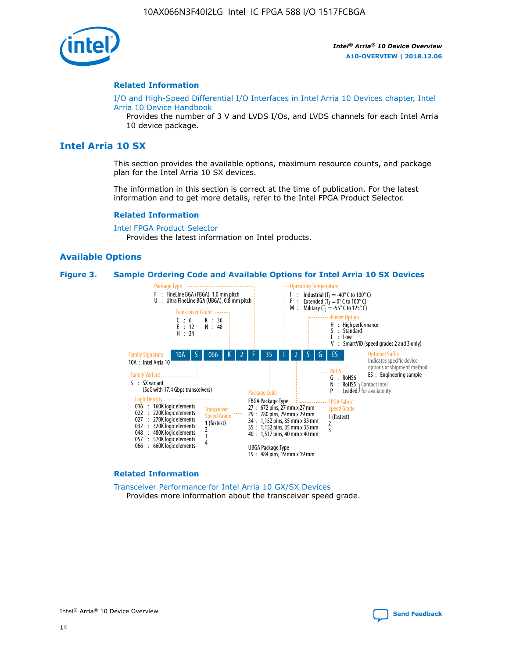

#### **Related Information**

[I/O and High-Speed Differential I/O Interfaces in Intel Arria 10 Devices chapter, Intel](https://www.intel.com/content/www/us/en/programmable/documentation/sam1403482614086.html#sam1403482030321) [Arria 10 Device Handbook](https://www.intel.com/content/www/us/en/programmable/documentation/sam1403482614086.html#sam1403482030321)

Provides the number of 3 V and LVDS I/Os, and LVDS channels for each Intel Arria 10 device package.

# **Intel Arria 10 SX**

This section provides the available options, maximum resource counts, and package plan for the Intel Arria 10 SX devices.

The information in this section is correct at the time of publication. For the latest information and to get more details, refer to the Intel FPGA Product Selector.

#### **Related Information**

[Intel FPGA Product Selector](http://www.altera.com/products/selector/psg-selector.html) Provides the latest information on Intel products.

#### **Available Options**

#### **Figure 3. Sample Ordering Code and Available Options for Intel Arria 10 SX Devices**



#### **Related Information**

[Transceiver Performance for Intel Arria 10 GX/SX Devices](https://www.intel.com/content/www/us/en/programmable/documentation/mcn1413182292568.html#mcn1413213965502) Provides more information about the transceiver speed grade.

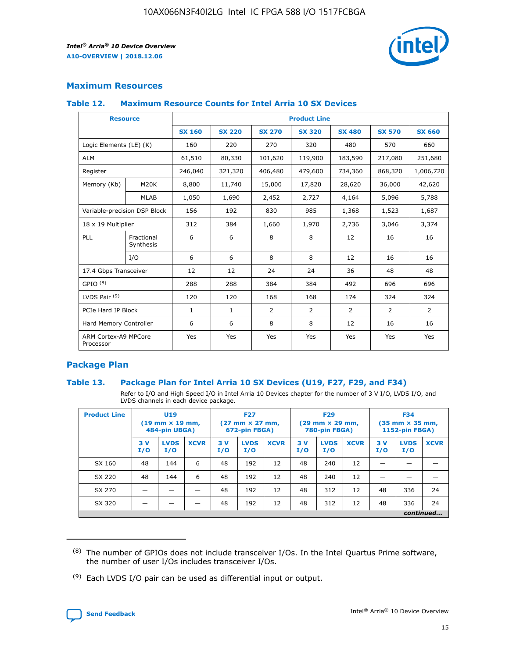

# **Maximum Resources**

#### **Table 12. Maximum Resource Counts for Intel Arria 10 SX Devices**

|                                   | <b>Resource</b>         | <b>Product Line</b> |               |                |                |                |                |                |  |  |  |
|-----------------------------------|-------------------------|---------------------|---------------|----------------|----------------|----------------|----------------|----------------|--|--|--|
|                                   |                         | <b>SX 160</b>       | <b>SX 220</b> | <b>SX 270</b>  | <b>SX 320</b>  | <b>SX 480</b>  | <b>SX 570</b>  | <b>SX 660</b>  |  |  |  |
| Logic Elements (LE) (K)           |                         | 160                 | 220           | 270            | 320            | 480            | 570            | 660            |  |  |  |
| <b>ALM</b>                        |                         | 61,510              | 80,330        | 101,620        | 119,900        | 183,590        | 217,080        | 251,680        |  |  |  |
| Register                          |                         | 246,040             | 321,320       | 406,480        | 479,600        | 734,360        | 868,320        | 1,006,720      |  |  |  |
| Memory (Kb)                       | M <sub>20</sub> K       | 8,800               | 11,740        | 15,000         | 17,820         | 28,620         | 36,000         | 42,620         |  |  |  |
|                                   | <b>MLAB</b>             | 1,050               | 1,690         | 2,452          | 2,727          | 4,164          | 5,096          | 5,788          |  |  |  |
| Variable-precision DSP Block      |                         | 156                 | 192           | 830            | 985            | 1,368          | 1,523          | 1,687          |  |  |  |
| 18 x 19 Multiplier                |                         | 312                 | 384           | 1,660          | 1,970          | 2,736          | 3,046          | 3,374          |  |  |  |
| <b>PLL</b>                        | Fractional<br>Synthesis | 6                   | 6             | 8              | 8              | 12             | 16             | 16             |  |  |  |
|                                   | I/O                     | 6                   | 6             | 8              | 8              | 12             | 16             | 16             |  |  |  |
| 17.4 Gbps Transceiver             |                         | 12                  | 12            | 24             | 24             | 36             | 48             | 48             |  |  |  |
| GPIO <sup>(8)</sup>               |                         | 288                 | 288           | 384            | 384            | 492            | 696            | 696            |  |  |  |
| LVDS Pair $(9)$                   |                         | 120                 | 120           | 168            | 168            | 174            | 324            | 324            |  |  |  |
| PCIe Hard IP Block                |                         | $\mathbf{1}$        | $\mathbf{1}$  | $\overline{2}$ | $\overline{2}$ | $\overline{2}$ | $\overline{2}$ | $\overline{2}$ |  |  |  |
| Hard Memory Controller            |                         | 6                   | 6             | 8              | 8              | 12             | 16             | 16             |  |  |  |
| ARM Cortex-A9 MPCore<br>Processor |                         | Yes                 | Yes           | Yes            | Yes            | Yes            | Yes            | Yes            |  |  |  |

# **Package Plan**

## **Table 13. Package Plan for Intel Arria 10 SX Devices (U19, F27, F29, and F34)**

Refer to I/O and High Speed I/O in Intel Arria 10 Devices chapter for the number of 3 V I/O, LVDS I/O, and LVDS channels in each device package.

| <b>Product Line</b> | U <sub>19</sub><br>$(19 \text{ mm} \times 19 \text{ mm})$<br>484-pin UBGA) |                    |             | <b>F27</b><br>$(27 \text{ mm} \times 27 \text{ mm})$ .<br>672-pin FBGA) |                    | <b>F29</b><br>$(29 \text{ mm} \times 29 \text{ mm})$ .<br>780-pin FBGA) |            |                    | <b>F34</b><br>$(35 \text{ mm} \times 35 \text{ mm})$<br><b>1152-pin FBGA)</b> |           |                    |             |
|---------------------|----------------------------------------------------------------------------|--------------------|-------------|-------------------------------------------------------------------------|--------------------|-------------------------------------------------------------------------|------------|--------------------|-------------------------------------------------------------------------------|-----------|--------------------|-------------|
|                     | 3V<br>I/O                                                                  | <b>LVDS</b><br>I/O | <b>XCVR</b> | 3V<br>I/O                                                               | <b>LVDS</b><br>I/O | <b>XCVR</b>                                                             | 3 V<br>I/O | <b>LVDS</b><br>I/O | <b>XCVR</b>                                                                   | 3V<br>I/O | <b>LVDS</b><br>I/O | <b>XCVR</b> |
| SX 160              | 48                                                                         | 144                | 6           | 48                                                                      | 192                | 12                                                                      | 48         | 240                | 12                                                                            |           |                    |             |
| SX 220              | 48                                                                         | 144                | 6           | 48                                                                      | 192                | 12                                                                      | 48         | 240                | 12                                                                            |           |                    |             |
| SX 270              |                                                                            |                    |             | 48                                                                      | 192                | 12                                                                      | 48         | 312                | 12                                                                            | 48        | 336                | 24          |
| SX 320              |                                                                            |                    |             | 48                                                                      | 192                | 12                                                                      | 48         | 312                | 12                                                                            | 48        | 336                | 24          |
|                     |                                                                            | continued          |             |                                                                         |                    |                                                                         |            |                    |                                                                               |           |                    |             |

 $(8)$  The number of GPIOs does not include transceiver I/Os. In the Intel Quartus Prime software, the number of user I/Os includes transceiver I/Os.

 $(9)$  Each LVDS I/O pair can be used as differential input or output.

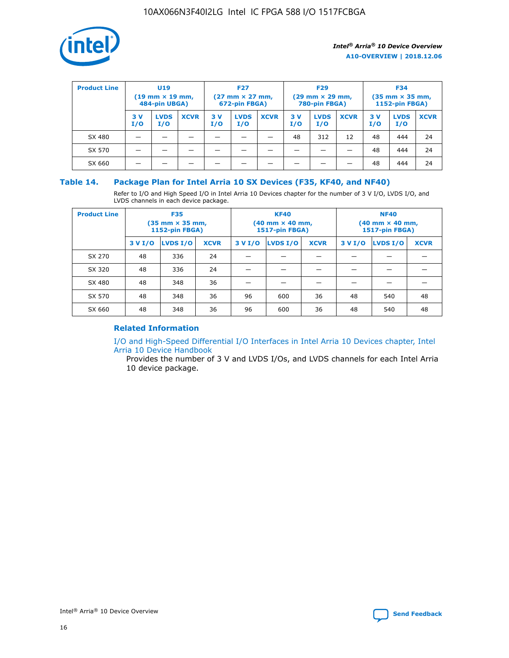

| <b>Product Line</b> | U <sub>19</sub><br>$(19 \text{ mm} \times 19 \text{ mm})$<br>484-pin UBGA) |                    | <b>F27</b><br>$(27 \text{ mm} \times 27 \text{ mm})$<br>672-pin FBGA) |           | <b>F29</b><br>$(29$ mm $\times$ 29 mm,<br>780-pin FBGA) |             |           | <b>F34</b><br>$(35$ mm $\times$ 35 mm,<br><b>1152-pin FBGA)</b> |             |            |                    |             |
|---------------------|----------------------------------------------------------------------------|--------------------|-----------------------------------------------------------------------|-----------|---------------------------------------------------------|-------------|-----------|-----------------------------------------------------------------|-------------|------------|--------------------|-------------|
|                     | 3 V<br>I/O                                                                 | <b>LVDS</b><br>I/O | <b>XCVR</b>                                                           | 3V<br>I/O | <b>LVDS</b><br>I/O                                      | <b>XCVR</b> | 3V<br>I/O | <b>LVDS</b><br>I/O                                              | <b>XCVR</b> | 3 V<br>I/O | <b>LVDS</b><br>I/O | <b>XCVR</b> |
| SX 480              |                                                                            |                    |                                                                       |           |                                                         |             | 48        | 312                                                             | 12          | 48         | 444                | 24          |
| SX 570              |                                                                            |                    |                                                                       |           |                                                         |             |           |                                                                 |             | 48         | 444                | 24          |
| SX 660              |                                                                            |                    |                                                                       |           |                                                         |             |           |                                                                 |             | 48         | 444                | 24          |

## **Table 14. Package Plan for Intel Arria 10 SX Devices (F35, KF40, and NF40)**

Refer to I/O and High Speed I/O in Intel Arria 10 Devices chapter for the number of 3 V I/O, LVDS I/O, and LVDS channels in each device package.

| <b>Product Line</b> | <b>F35</b><br>$(35 \text{ mm} \times 35 \text{ mm})$<br><b>1152-pin FBGA)</b> |          |             |                                           | <b>KF40</b><br>(40 mm × 40 mm,<br>1517-pin FBGA) |    | <b>NF40</b><br>$(40 \text{ mm} \times 40 \text{ mm})$<br>1517-pin FBGA) |          |             |  |
|---------------------|-------------------------------------------------------------------------------|----------|-------------|-------------------------------------------|--------------------------------------------------|----|-------------------------------------------------------------------------|----------|-------------|--|
|                     | 3 V I/O                                                                       | LVDS I/O | <b>XCVR</b> | <b>LVDS I/O</b><br><b>XCVR</b><br>3 V I/O |                                                  |    | 3 V I/O                                                                 | LVDS I/O | <b>XCVR</b> |  |
| SX 270              | 48                                                                            | 336      | 24          |                                           |                                                  |    |                                                                         |          |             |  |
| SX 320              | 48                                                                            | 336      | 24          |                                           |                                                  |    |                                                                         |          |             |  |
| SX 480              | 48                                                                            | 348      | 36          |                                           |                                                  |    |                                                                         |          |             |  |
| SX 570              | 48                                                                            | 348      | 36          | 96                                        | 600                                              | 36 | 48                                                                      | 540      | 48          |  |
| SX 660              | 48                                                                            | 348      | 36          | 96                                        | 600                                              | 36 | 48                                                                      | 540      | 48          |  |

# **Related Information**

[I/O and High-Speed Differential I/O Interfaces in Intel Arria 10 Devices chapter, Intel](https://www.intel.com/content/www/us/en/programmable/documentation/sam1403482614086.html#sam1403482030321) [Arria 10 Device Handbook](https://www.intel.com/content/www/us/en/programmable/documentation/sam1403482614086.html#sam1403482030321)

Provides the number of 3 V and LVDS I/Os, and LVDS channels for each Intel Arria 10 device package.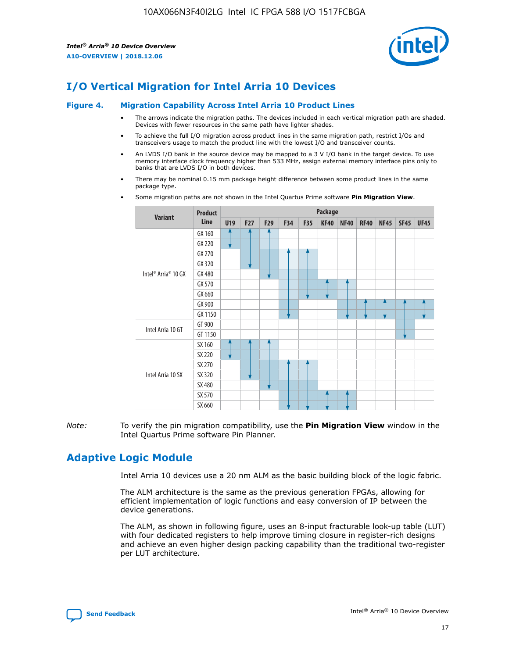

# **I/O Vertical Migration for Intel Arria 10 Devices**

#### **Figure 4. Migration Capability Across Intel Arria 10 Product Lines**

- The arrows indicate the migration paths. The devices included in each vertical migration path are shaded. Devices with fewer resources in the same path have lighter shades.
- To achieve the full I/O migration across product lines in the same migration path, restrict I/Os and transceivers usage to match the product line with the lowest I/O and transceiver counts.
- An LVDS I/O bank in the source device may be mapped to a 3 V I/O bank in the target device. To use memory interface clock frequency higher than 533 MHz, assign external memory interface pins only to banks that are LVDS I/O in both devices.
- There may be nominal 0.15 mm package height difference between some product lines in the same package type.
	- **Variant Product Line Package U19 F27 F29 F34 F35 KF40 NF40 RF40 NF45 SF45 UF45** Intel® Arria® 10 GX GX 160 GX 220 GX 270 GX 320 GX 480 GX 570 GX 660 GX 900 GX 1150 Intel Arria 10 GT GT 900 GT 1150 Intel Arria 10 SX SX 160 SX 220 SX 270 SX 320 SX 480 SX 570 SX 660
- Some migration paths are not shown in the Intel Quartus Prime software **Pin Migration View**.

*Note:* To verify the pin migration compatibility, use the **Pin Migration View** window in the Intel Quartus Prime software Pin Planner.

# **Adaptive Logic Module**

Intel Arria 10 devices use a 20 nm ALM as the basic building block of the logic fabric.

The ALM architecture is the same as the previous generation FPGAs, allowing for efficient implementation of logic functions and easy conversion of IP between the device generations.

The ALM, as shown in following figure, uses an 8-input fracturable look-up table (LUT) with four dedicated registers to help improve timing closure in register-rich designs and achieve an even higher design packing capability than the traditional two-register per LUT architecture.

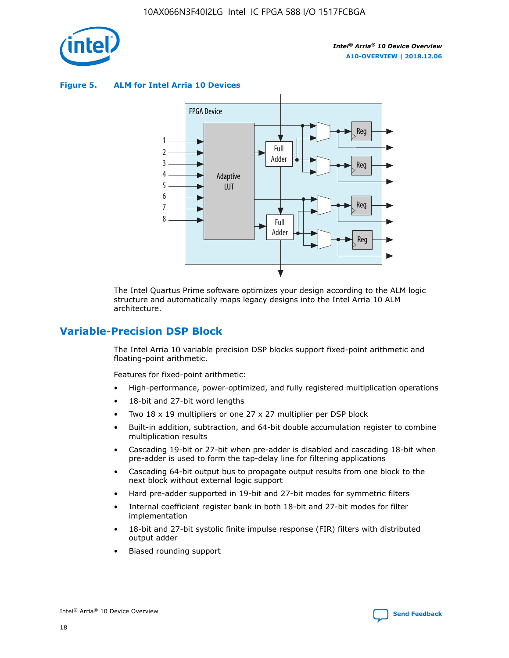

**Figure 5. ALM for Intel Arria 10 Devices**



The Intel Quartus Prime software optimizes your design according to the ALM logic structure and automatically maps legacy designs into the Intel Arria 10 ALM architecture.

# **Variable-Precision DSP Block**

The Intel Arria 10 variable precision DSP blocks support fixed-point arithmetic and floating-point arithmetic.

Features for fixed-point arithmetic:

- High-performance, power-optimized, and fully registered multiplication operations
- 18-bit and 27-bit word lengths
- Two 18 x 19 multipliers or one 27 x 27 multiplier per DSP block
- Built-in addition, subtraction, and 64-bit double accumulation register to combine multiplication results
- Cascading 19-bit or 27-bit when pre-adder is disabled and cascading 18-bit when pre-adder is used to form the tap-delay line for filtering applications
- Cascading 64-bit output bus to propagate output results from one block to the next block without external logic support
- Hard pre-adder supported in 19-bit and 27-bit modes for symmetric filters
- Internal coefficient register bank in both 18-bit and 27-bit modes for filter implementation
- 18-bit and 27-bit systolic finite impulse response (FIR) filters with distributed output adder
- Biased rounding support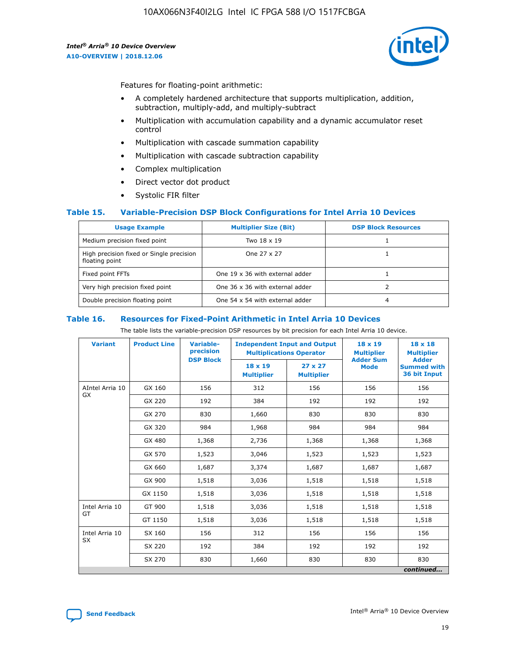

Features for floating-point arithmetic:

- A completely hardened architecture that supports multiplication, addition, subtraction, multiply-add, and multiply-subtract
- Multiplication with accumulation capability and a dynamic accumulator reset control
- Multiplication with cascade summation capability
- Multiplication with cascade subtraction capability
- Complex multiplication
- Direct vector dot product
- Systolic FIR filter

## **Table 15. Variable-Precision DSP Block Configurations for Intel Arria 10 Devices**

| <b>Usage Example</b>                                       | <b>Multiplier Size (Bit)</b>    | <b>DSP Block Resources</b> |
|------------------------------------------------------------|---------------------------------|----------------------------|
| Medium precision fixed point                               | Two 18 x 19                     |                            |
| High precision fixed or Single precision<br>floating point | One 27 x 27                     |                            |
| Fixed point FFTs                                           | One 19 x 36 with external adder |                            |
| Very high precision fixed point                            | One 36 x 36 with external adder |                            |
| Double precision floating point                            | One 54 x 54 with external adder | 4                          |

#### **Table 16. Resources for Fixed-Point Arithmetic in Intel Arria 10 Devices**

The table lists the variable-precision DSP resources by bit precision for each Intel Arria 10 device.

| <b>Variant</b>               | <b>Product Line</b> | Variable-<br>precision | <b>Independent Input and Output</b><br><b>Multiplications Operator</b> |                                     | $18 \times 19$<br><b>Multiplier</b><br><b>Adder Sum</b> | $18 \times 18$<br><b>Multiplier</b>                |
|------------------------------|---------------------|------------------------|------------------------------------------------------------------------|-------------------------------------|---------------------------------------------------------|----------------------------------------------------|
|                              |                     | <b>DSP Block</b>       | $18 \times 19$<br><b>Multiplier</b>                                    | $27 \times 27$<br><b>Multiplier</b> | <b>Mode</b>                                             | <b>Adder</b><br><b>Summed with</b><br>36 bit Input |
| AIntel Arria 10<br><b>GX</b> | GX 160              | 156                    | 312                                                                    | 156                                 | 156                                                     | 156                                                |
|                              | GX 220              | 192                    | 384                                                                    | 192                                 | 192                                                     | 192                                                |
|                              | GX 270              | 830                    | 1,660                                                                  | 830                                 | 830                                                     | 830                                                |
|                              | GX 320              | 984                    | 1,968                                                                  | 984                                 | 984                                                     | 984                                                |
|                              | GX 480              | 1,368                  | 2,736                                                                  | 1,368                               | 1,368                                                   | 1,368                                              |
|                              | GX 570              | 1,523                  | 3,046                                                                  | 1,523                               | 1,523                                                   | 1,523                                              |
|                              | GX 660              | 1,687                  | 3,374                                                                  | 1,687                               | 1,687                                                   | 1,687                                              |
|                              | GX 900              | 1,518                  | 3,036                                                                  | 1,518                               | 1,518                                                   | 1,518                                              |
|                              | GX 1150             | 1,518                  | 3,036                                                                  | 1,518                               | 1,518                                                   | 1,518                                              |
| Intel Arria 10               | GT 900              | 1,518                  | 3,036                                                                  | 1,518                               | 1,518                                                   | 1,518                                              |
| GT                           | GT 1150             | 1,518                  | 3,036                                                                  | 1,518                               | 1,518                                                   | 1,518                                              |
| Intel Arria 10               | SX 160              | 156                    | 312                                                                    | 156                                 | 156                                                     | 156                                                |
| <b>SX</b>                    | SX 220              | 192                    | 384                                                                    | 192                                 | 192                                                     | 192                                                |
|                              | SX 270              | 830                    | 1,660                                                                  | 830                                 | 830                                                     | 830                                                |
|                              |                     |                        |                                                                        |                                     |                                                         | continued                                          |

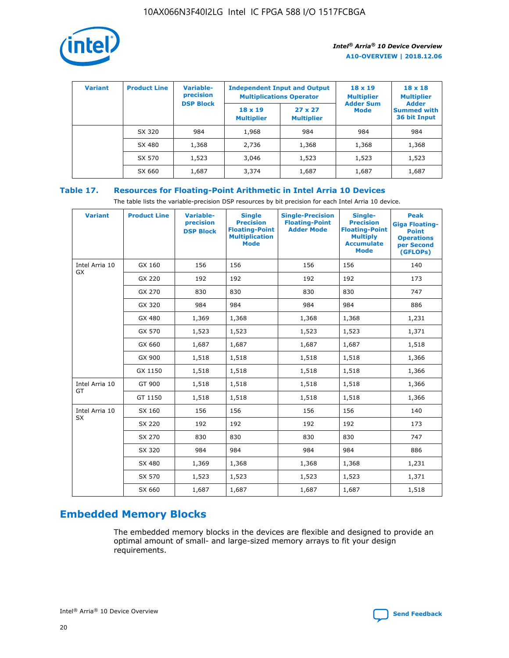

| <b>Variant</b> | <b>Product Line</b> | <b>Variable-</b><br>precision<br><b>DSP Block</b> | <b>Independent Input and Output</b><br><b>Multiplications Operator</b> |                                     | $18 \times 19$<br><b>Multiplier</b><br><b>Adder Sum</b> | $18 \times 18$<br><b>Multiplier</b><br><b>Adder</b> |  |
|----------------|---------------------|---------------------------------------------------|------------------------------------------------------------------------|-------------------------------------|---------------------------------------------------------|-----------------------------------------------------|--|
|                |                     |                                                   | $18 \times 19$<br><b>Multiplier</b>                                    | $27 \times 27$<br><b>Multiplier</b> | <b>Mode</b>                                             | <b>Summed with</b><br>36 bit Input                  |  |
|                | SX 320              | 984                                               | 1,968                                                                  | 984                                 | 984                                                     | 984                                                 |  |
|                | SX 480              | 1,368                                             | 2,736                                                                  | 1,368                               | 1,368                                                   | 1,368                                               |  |
|                | SX 570              | 1,523                                             | 3,046                                                                  | 1,523                               | 1,523                                                   | 1,523                                               |  |
|                | SX 660              | 1,687                                             | 3,374                                                                  | 1,687                               | 1,687                                                   | 1,687                                               |  |

# **Table 17. Resources for Floating-Point Arithmetic in Intel Arria 10 Devices**

The table lists the variable-precision DSP resources by bit precision for each Intel Arria 10 device.

| <b>Variant</b> | <b>Product Line</b> | <b>Variable-</b><br>precision<br><b>DSP Block</b> | <b>Single</b><br><b>Precision</b><br><b>Floating-Point</b><br><b>Multiplication</b><br><b>Mode</b> | <b>Single-Precision</b><br><b>Floating-Point</b><br><b>Adder Mode</b> | Single-<br><b>Precision</b><br><b>Floating-Point</b><br><b>Multiply</b><br><b>Accumulate</b><br><b>Mode</b> | <b>Peak</b><br><b>Giga Floating-</b><br><b>Point</b><br><b>Operations</b><br>per Second<br>(GFLOPs) |
|----------------|---------------------|---------------------------------------------------|----------------------------------------------------------------------------------------------------|-----------------------------------------------------------------------|-------------------------------------------------------------------------------------------------------------|-----------------------------------------------------------------------------------------------------|
| Intel Arria 10 | GX 160              | 156                                               | 156                                                                                                | 156                                                                   | 156                                                                                                         | 140                                                                                                 |
| GX             | GX 220              | 192                                               | 192                                                                                                | 192                                                                   | 192                                                                                                         | 173                                                                                                 |
|                | GX 270              | 830                                               | 830                                                                                                | 830                                                                   | 830                                                                                                         | 747                                                                                                 |
|                | GX 320              | 984                                               | 984                                                                                                | 984                                                                   | 984                                                                                                         | 886                                                                                                 |
|                | GX 480              | 1,369                                             | 1,368                                                                                              | 1,368                                                                 | 1,368                                                                                                       | 1,231                                                                                               |
|                | GX 570              | 1,523                                             | 1,523                                                                                              | 1,523                                                                 | 1,523                                                                                                       | 1,371                                                                                               |
|                | GX 660              | 1,687                                             | 1,687                                                                                              | 1,687                                                                 | 1,687                                                                                                       | 1,518                                                                                               |
|                | GX 900              | 1,518                                             | 1,518                                                                                              | 1,518                                                                 | 1,518                                                                                                       | 1,366                                                                                               |
|                | GX 1150             | 1,518                                             | 1,518                                                                                              | 1,518                                                                 | 1,518                                                                                                       | 1,366                                                                                               |
| Intel Arria 10 | GT 900              | 1,518                                             | 1,518                                                                                              | 1,518                                                                 | 1,518                                                                                                       | 1,366                                                                                               |
| GT             | GT 1150             | 1,518                                             | 1,518                                                                                              | 1,518                                                                 | 1,518                                                                                                       | 1,366                                                                                               |
| Intel Arria 10 | SX 160              | 156                                               | 156                                                                                                | 156                                                                   | 156                                                                                                         | 140                                                                                                 |
| <b>SX</b>      | SX 220              | 192                                               | 192                                                                                                | 192                                                                   | 192                                                                                                         | 173                                                                                                 |
|                | SX 270              | 830                                               | 830                                                                                                | 830                                                                   | 830                                                                                                         | 747                                                                                                 |
|                | SX 320              | 984                                               | 984                                                                                                | 984                                                                   | 984                                                                                                         | 886                                                                                                 |
|                | SX 480              | 1,369                                             | 1,368                                                                                              | 1,368                                                                 | 1,368                                                                                                       | 1,231                                                                                               |
|                | SX 570              | 1,523                                             | 1,523                                                                                              | 1,523                                                                 | 1,523                                                                                                       | 1,371                                                                                               |
|                | SX 660              | 1,687                                             | 1,687                                                                                              | 1,687                                                                 | 1,687                                                                                                       | 1,518                                                                                               |

# **Embedded Memory Blocks**

The embedded memory blocks in the devices are flexible and designed to provide an optimal amount of small- and large-sized memory arrays to fit your design requirements.

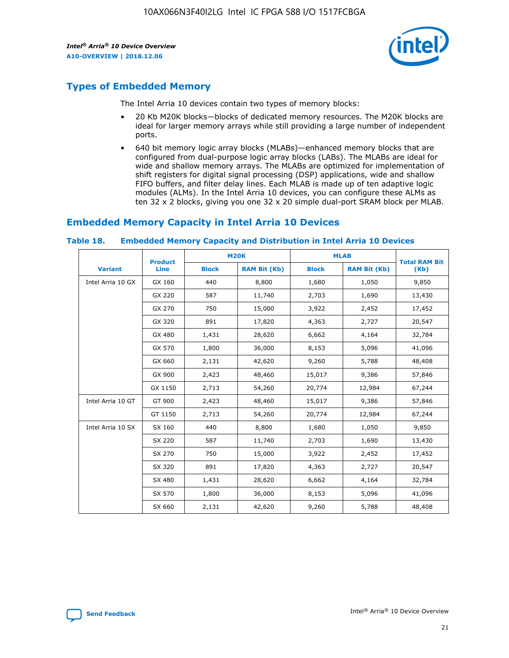

# **Types of Embedded Memory**

The Intel Arria 10 devices contain two types of memory blocks:

- 20 Kb M20K blocks—blocks of dedicated memory resources. The M20K blocks are ideal for larger memory arrays while still providing a large number of independent ports.
- 640 bit memory logic array blocks (MLABs)—enhanced memory blocks that are configured from dual-purpose logic array blocks (LABs). The MLABs are ideal for wide and shallow memory arrays. The MLABs are optimized for implementation of shift registers for digital signal processing (DSP) applications, wide and shallow FIFO buffers, and filter delay lines. Each MLAB is made up of ten adaptive logic modules (ALMs). In the Intel Arria 10 devices, you can configure these ALMs as ten 32 x 2 blocks, giving you one 32 x 20 simple dual-port SRAM block per MLAB.

# **Embedded Memory Capacity in Intel Arria 10 Devices**

|                   | <b>Product</b> |              | <b>M20K</b>         | <b>MLAB</b>  |                     | <b>Total RAM Bit</b> |
|-------------------|----------------|--------------|---------------------|--------------|---------------------|----------------------|
| <b>Variant</b>    | Line           | <b>Block</b> | <b>RAM Bit (Kb)</b> | <b>Block</b> | <b>RAM Bit (Kb)</b> | (Kb)                 |
| Intel Arria 10 GX | GX 160         | 440          | 8,800               | 1,680        | 1,050               | 9,850                |
|                   | GX 220         | 587          | 11,740              | 2,703        | 1,690               | 13,430               |
|                   | GX 270         | 750          | 15,000              | 3,922        | 2,452               | 17,452               |
|                   | GX 320         | 891          | 17,820              | 4,363        | 2,727               | 20,547               |
|                   | GX 480         | 1,431        | 28,620              | 6,662        | 4,164               | 32,784               |
|                   | GX 570         | 1,800        | 36,000              | 8,153        | 5,096               | 41,096               |
|                   | GX 660         | 2,131        | 42,620              | 9,260        | 5,788               | 48,408               |
|                   | GX 900         | 2,423        | 48,460              | 15,017       | 9,386               | 57,846               |
|                   | GX 1150        | 2,713        | 54,260              | 20,774       | 12,984              | 67,244               |
| Intel Arria 10 GT | GT 900         | 2,423        | 48,460              | 15,017       | 9,386               | 57,846               |
|                   | GT 1150        | 2,713        | 54,260              | 20,774       | 12,984              | 67,244               |
| Intel Arria 10 SX | SX 160         | 440          | 8,800               | 1,680        | 1,050               | 9,850                |
|                   | SX 220         | 587          | 11,740              | 2,703        | 1,690               | 13,430               |
|                   | SX 270         | 750          | 15,000              | 3,922        | 2,452               | 17,452               |
|                   | SX 320         | 891          | 17,820              | 4,363        | 2,727               | 20,547               |
|                   | SX 480         | 1,431        | 28,620              | 6,662        | 4,164               | 32,784               |
|                   | SX 570         | 1,800        | 36,000              | 8,153        | 5,096               | 41,096               |
|                   | SX 660         | 2,131        | 42,620              | 9,260        | 5,788               | 48,408               |

#### **Table 18. Embedded Memory Capacity and Distribution in Intel Arria 10 Devices**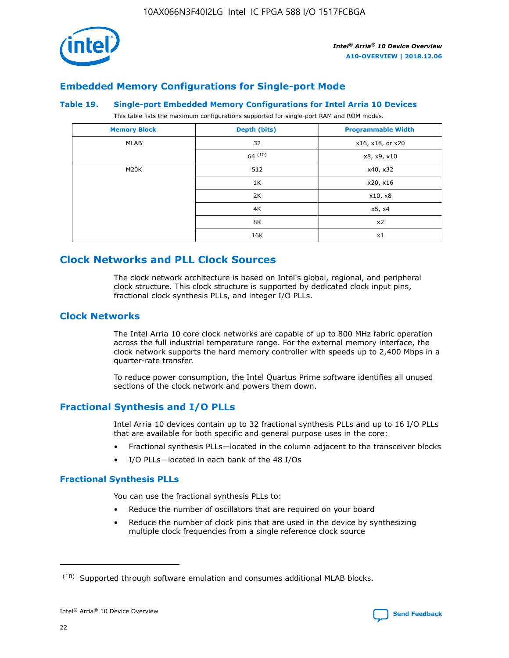

# **Embedded Memory Configurations for Single-port Mode**

#### **Table 19. Single-port Embedded Memory Configurations for Intel Arria 10 Devices**

This table lists the maximum configurations supported for single-port RAM and ROM modes.

| <b>Memory Block</b> | Depth (bits) | <b>Programmable Width</b> |
|---------------------|--------------|---------------------------|
| MLAB                | 32           | x16, x18, or x20          |
|                     | 64(10)       | x8, x9, x10               |
| M20K                | 512          | x40, x32                  |
|                     | 1K           | x20, x16                  |
|                     | 2K           | x10, x8                   |
|                     | 4K           | x5, x4                    |
|                     | 8K           | x2                        |
|                     | 16K          | x1                        |

# **Clock Networks and PLL Clock Sources**

The clock network architecture is based on Intel's global, regional, and peripheral clock structure. This clock structure is supported by dedicated clock input pins, fractional clock synthesis PLLs, and integer I/O PLLs.

# **Clock Networks**

The Intel Arria 10 core clock networks are capable of up to 800 MHz fabric operation across the full industrial temperature range. For the external memory interface, the clock network supports the hard memory controller with speeds up to 2,400 Mbps in a quarter-rate transfer.

To reduce power consumption, the Intel Quartus Prime software identifies all unused sections of the clock network and powers them down.

# **Fractional Synthesis and I/O PLLs**

Intel Arria 10 devices contain up to 32 fractional synthesis PLLs and up to 16 I/O PLLs that are available for both specific and general purpose uses in the core:

- Fractional synthesis PLLs—located in the column adjacent to the transceiver blocks
- I/O PLLs—located in each bank of the 48 I/Os

## **Fractional Synthesis PLLs**

You can use the fractional synthesis PLLs to:

- Reduce the number of oscillators that are required on your board
- Reduce the number of clock pins that are used in the device by synthesizing multiple clock frequencies from a single reference clock source

<sup>(10)</sup> Supported through software emulation and consumes additional MLAB blocks.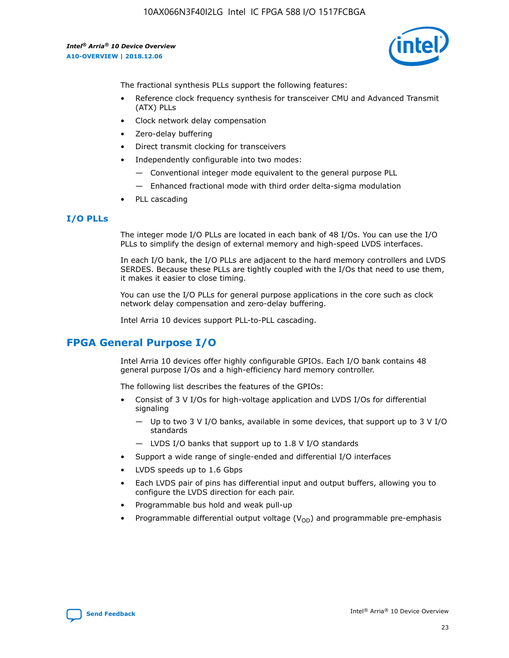

The fractional synthesis PLLs support the following features:

- Reference clock frequency synthesis for transceiver CMU and Advanced Transmit (ATX) PLLs
- Clock network delay compensation
- Zero-delay buffering
- Direct transmit clocking for transceivers
- Independently configurable into two modes:
	- Conventional integer mode equivalent to the general purpose PLL
	- Enhanced fractional mode with third order delta-sigma modulation
- PLL cascading

## **I/O PLLs**

The integer mode I/O PLLs are located in each bank of 48 I/Os. You can use the I/O PLLs to simplify the design of external memory and high-speed LVDS interfaces.

In each I/O bank, the I/O PLLs are adjacent to the hard memory controllers and LVDS SERDES. Because these PLLs are tightly coupled with the I/Os that need to use them, it makes it easier to close timing.

You can use the I/O PLLs for general purpose applications in the core such as clock network delay compensation and zero-delay buffering.

Intel Arria 10 devices support PLL-to-PLL cascading.

# **FPGA General Purpose I/O**

Intel Arria 10 devices offer highly configurable GPIOs. Each I/O bank contains 48 general purpose I/Os and a high-efficiency hard memory controller.

The following list describes the features of the GPIOs:

- Consist of 3 V I/Os for high-voltage application and LVDS I/Os for differential signaling
	- Up to two 3 V I/O banks, available in some devices, that support up to 3 V I/O standards
	- LVDS I/O banks that support up to 1.8 V I/O standards
- Support a wide range of single-ended and differential I/O interfaces
- LVDS speeds up to 1.6 Gbps
- Each LVDS pair of pins has differential input and output buffers, allowing you to configure the LVDS direction for each pair.
- Programmable bus hold and weak pull-up
- Programmable differential output voltage  $(V_{OD})$  and programmable pre-emphasis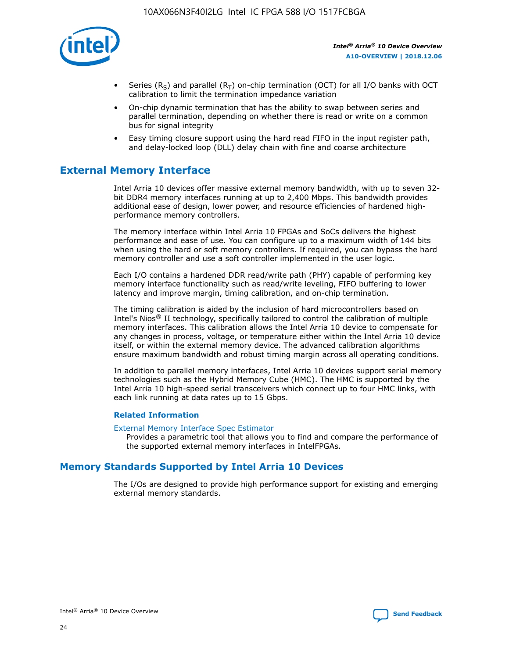

- Series (R<sub>S</sub>) and parallel (R<sub>T</sub>) on-chip termination (OCT) for all I/O banks with OCT calibration to limit the termination impedance variation
- On-chip dynamic termination that has the ability to swap between series and parallel termination, depending on whether there is read or write on a common bus for signal integrity
- Easy timing closure support using the hard read FIFO in the input register path, and delay-locked loop (DLL) delay chain with fine and coarse architecture

# **External Memory Interface**

Intel Arria 10 devices offer massive external memory bandwidth, with up to seven 32 bit DDR4 memory interfaces running at up to 2,400 Mbps. This bandwidth provides additional ease of design, lower power, and resource efficiencies of hardened highperformance memory controllers.

The memory interface within Intel Arria 10 FPGAs and SoCs delivers the highest performance and ease of use. You can configure up to a maximum width of 144 bits when using the hard or soft memory controllers. If required, you can bypass the hard memory controller and use a soft controller implemented in the user logic.

Each I/O contains a hardened DDR read/write path (PHY) capable of performing key memory interface functionality such as read/write leveling, FIFO buffering to lower latency and improve margin, timing calibration, and on-chip termination.

The timing calibration is aided by the inclusion of hard microcontrollers based on Intel's Nios® II technology, specifically tailored to control the calibration of multiple memory interfaces. This calibration allows the Intel Arria 10 device to compensate for any changes in process, voltage, or temperature either within the Intel Arria 10 device itself, or within the external memory device. The advanced calibration algorithms ensure maximum bandwidth and robust timing margin across all operating conditions.

In addition to parallel memory interfaces, Intel Arria 10 devices support serial memory technologies such as the Hybrid Memory Cube (HMC). The HMC is supported by the Intel Arria 10 high-speed serial transceivers which connect up to four HMC links, with each link running at data rates up to 15 Gbps.

## **Related Information**

#### [External Memory Interface Spec Estimator](http://www.altera.com/technology/memory/estimator/mem-emif-index.html)

Provides a parametric tool that allows you to find and compare the performance of the supported external memory interfaces in IntelFPGAs.

# **Memory Standards Supported by Intel Arria 10 Devices**

The I/Os are designed to provide high performance support for existing and emerging external memory standards.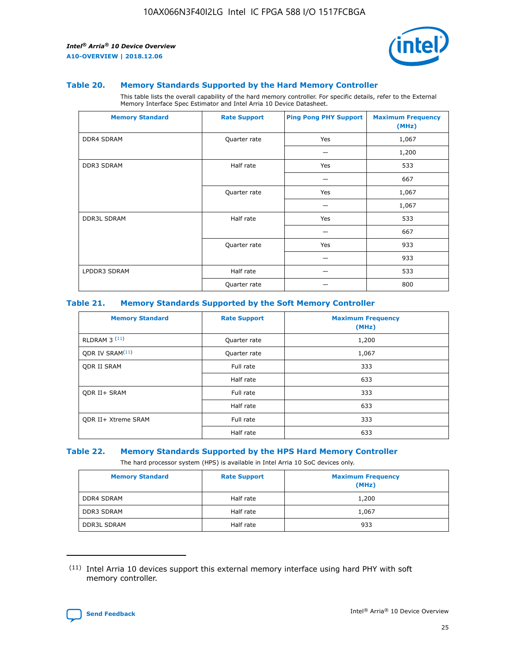

#### **Table 20. Memory Standards Supported by the Hard Memory Controller**

This table lists the overall capability of the hard memory controller. For specific details, refer to the External Memory Interface Spec Estimator and Intel Arria 10 Device Datasheet.

| <b>Memory Standard</b> | <b>Rate Support</b> | <b>Ping Pong PHY Support</b> | <b>Maximum Frequency</b><br>(MHz) |
|------------------------|---------------------|------------------------------|-----------------------------------|
| <b>DDR4 SDRAM</b>      | Quarter rate        | Yes                          | 1,067                             |
|                        |                     |                              | 1,200                             |
| DDR3 SDRAM             | Half rate           | Yes                          | 533                               |
|                        |                     |                              | 667                               |
|                        | Quarter rate        | Yes                          | 1,067                             |
|                        |                     |                              | 1,067                             |
| <b>DDR3L SDRAM</b>     | Half rate           | Yes                          | 533                               |
|                        |                     |                              | 667                               |
|                        | Quarter rate        | Yes                          | 933                               |
|                        |                     |                              | 933                               |
| LPDDR3 SDRAM           | Half rate           |                              | 533                               |
|                        | Quarter rate        |                              | 800                               |

## **Table 21. Memory Standards Supported by the Soft Memory Controller**

| <b>Memory Standard</b>      | <b>Rate Support</b> | <b>Maximum Frequency</b><br>(MHz) |
|-----------------------------|---------------------|-----------------------------------|
| <b>RLDRAM 3 (11)</b>        | Quarter rate        | 1,200                             |
| ODR IV SRAM <sup>(11)</sup> | Quarter rate        | 1,067                             |
| <b>ODR II SRAM</b>          | Full rate           | 333                               |
|                             | Half rate           | 633                               |
| <b>ODR II+ SRAM</b>         | Full rate           | 333                               |
|                             | Half rate           | 633                               |
| <b>ODR II+ Xtreme SRAM</b>  | Full rate           | 333                               |
|                             | Half rate           | 633                               |

#### **Table 22. Memory Standards Supported by the HPS Hard Memory Controller**

The hard processor system (HPS) is available in Intel Arria 10 SoC devices only.

| <b>Memory Standard</b> | <b>Rate Support</b> | <b>Maximum Frequency</b><br>(MHz) |
|------------------------|---------------------|-----------------------------------|
| <b>DDR4 SDRAM</b>      | Half rate           | 1,200                             |
| <b>DDR3 SDRAM</b>      | Half rate           | 1,067                             |
| <b>DDR3L SDRAM</b>     | Half rate           | 933                               |

<sup>(11)</sup> Intel Arria 10 devices support this external memory interface using hard PHY with soft memory controller.

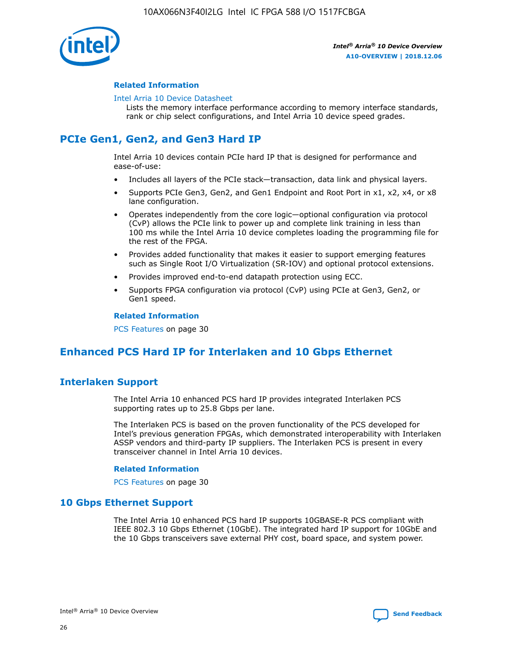

## **Related Information**

#### [Intel Arria 10 Device Datasheet](https://www.intel.com/content/www/us/en/programmable/documentation/mcn1413182292568.html#mcn1413182153340)

Lists the memory interface performance according to memory interface standards, rank or chip select configurations, and Intel Arria 10 device speed grades.

# **PCIe Gen1, Gen2, and Gen3 Hard IP**

Intel Arria 10 devices contain PCIe hard IP that is designed for performance and ease-of-use:

- Includes all layers of the PCIe stack—transaction, data link and physical layers.
- Supports PCIe Gen3, Gen2, and Gen1 Endpoint and Root Port in x1, x2, x4, or x8 lane configuration.
- Operates independently from the core logic—optional configuration via protocol (CvP) allows the PCIe link to power up and complete link training in less than 100 ms while the Intel Arria 10 device completes loading the programming file for the rest of the FPGA.
- Provides added functionality that makes it easier to support emerging features such as Single Root I/O Virtualization (SR-IOV) and optional protocol extensions.
- Provides improved end-to-end datapath protection using ECC.
- Supports FPGA configuration via protocol (CvP) using PCIe at Gen3, Gen2, or Gen1 speed.

#### **Related Information**

PCS Features on page 30

# **Enhanced PCS Hard IP for Interlaken and 10 Gbps Ethernet**

# **Interlaken Support**

The Intel Arria 10 enhanced PCS hard IP provides integrated Interlaken PCS supporting rates up to 25.8 Gbps per lane.

The Interlaken PCS is based on the proven functionality of the PCS developed for Intel's previous generation FPGAs, which demonstrated interoperability with Interlaken ASSP vendors and third-party IP suppliers. The Interlaken PCS is present in every transceiver channel in Intel Arria 10 devices.

## **Related Information**

PCS Features on page 30

# **10 Gbps Ethernet Support**

The Intel Arria 10 enhanced PCS hard IP supports 10GBASE-R PCS compliant with IEEE 802.3 10 Gbps Ethernet (10GbE). The integrated hard IP support for 10GbE and the 10 Gbps transceivers save external PHY cost, board space, and system power.

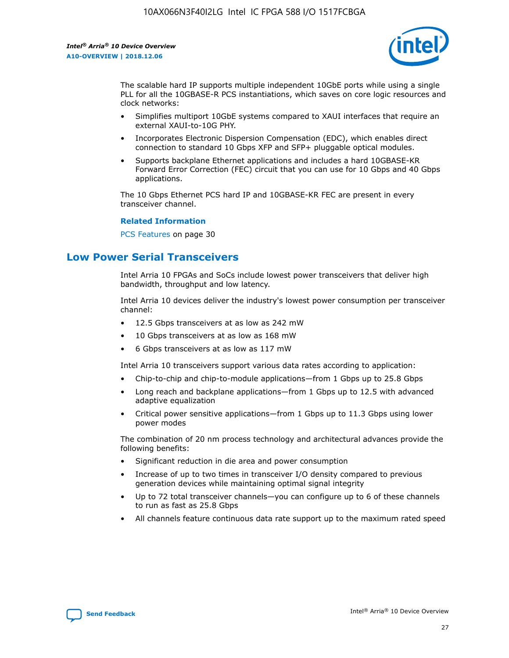

The scalable hard IP supports multiple independent 10GbE ports while using a single PLL for all the 10GBASE-R PCS instantiations, which saves on core logic resources and clock networks:

- Simplifies multiport 10GbE systems compared to XAUI interfaces that require an external XAUI-to-10G PHY.
- Incorporates Electronic Dispersion Compensation (EDC), which enables direct connection to standard 10 Gbps XFP and SFP+ pluggable optical modules.
- Supports backplane Ethernet applications and includes a hard 10GBASE-KR Forward Error Correction (FEC) circuit that you can use for 10 Gbps and 40 Gbps applications.

The 10 Gbps Ethernet PCS hard IP and 10GBASE-KR FEC are present in every transceiver channel.

#### **Related Information**

PCS Features on page 30

# **Low Power Serial Transceivers**

Intel Arria 10 FPGAs and SoCs include lowest power transceivers that deliver high bandwidth, throughput and low latency.

Intel Arria 10 devices deliver the industry's lowest power consumption per transceiver channel:

- 12.5 Gbps transceivers at as low as 242 mW
- 10 Gbps transceivers at as low as 168 mW
- 6 Gbps transceivers at as low as 117 mW

Intel Arria 10 transceivers support various data rates according to application:

- Chip-to-chip and chip-to-module applications—from 1 Gbps up to 25.8 Gbps
- Long reach and backplane applications—from 1 Gbps up to 12.5 with advanced adaptive equalization
- Critical power sensitive applications—from 1 Gbps up to 11.3 Gbps using lower power modes

The combination of 20 nm process technology and architectural advances provide the following benefits:

- Significant reduction in die area and power consumption
- Increase of up to two times in transceiver I/O density compared to previous generation devices while maintaining optimal signal integrity
- Up to 72 total transceiver channels—you can configure up to 6 of these channels to run as fast as 25.8 Gbps
- All channels feature continuous data rate support up to the maximum rated speed

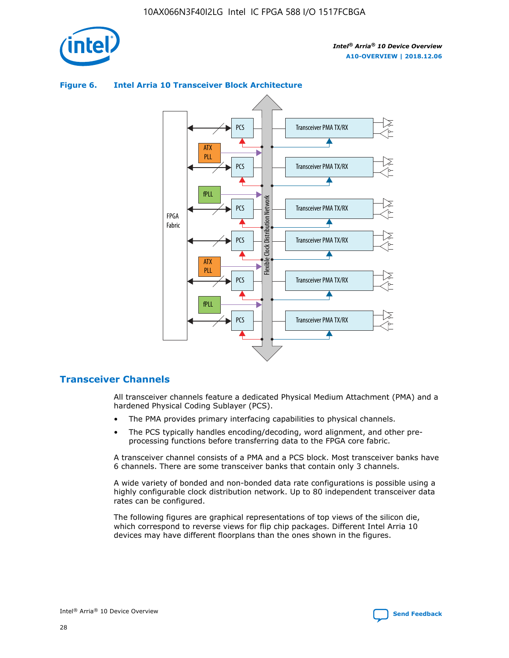

## Transceiver PMA TX/RX PCS ATX PLL Transceiver PMA TX/RX PCS fPLL Network Flexible Clock Distribution Network PCS Transceiver PMA TX/RX FPGA **Clock Distribution** Fabric PCS Transceiver PMA TX/RX ATX Flexible PLL PCS Transceiver PMA TX/RX ▲ fPLL Transceiver PMA TX/RX PCS

## **Figure 6. Intel Arria 10 Transceiver Block Architecture**

# **Transceiver Channels**

All transceiver channels feature a dedicated Physical Medium Attachment (PMA) and a hardened Physical Coding Sublayer (PCS).

4

- The PMA provides primary interfacing capabilities to physical channels.
- The PCS typically handles encoding/decoding, word alignment, and other preprocessing functions before transferring data to the FPGA core fabric.

A transceiver channel consists of a PMA and a PCS block. Most transceiver banks have 6 channels. There are some transceiver banks that contain only 3 channels.

A wide variety of bonded and non-bonded data rate configurations is possible using a highly configurable clock distribution network. Up to 80 independent transceiver data rates can be configured.

The following figures are graphical representations of top views of the silicon die, which correspond to reverse views for flip chip packages. Different Intel Arria 10 devices may have different floorplans than the ones shown in the figures.

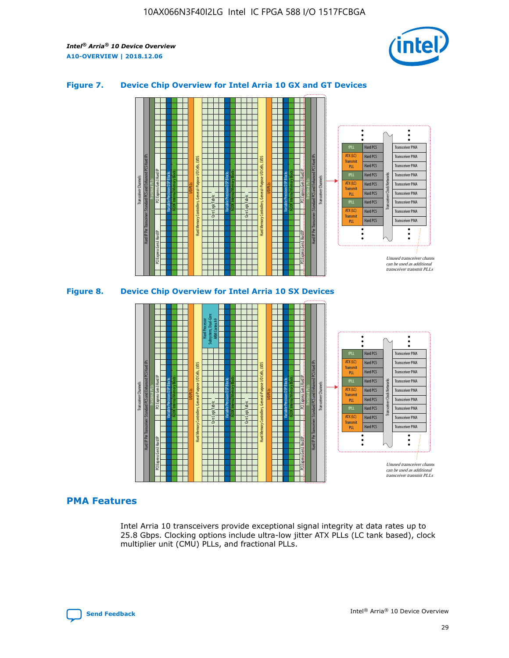

## **Figure 7. Device Chip Overview for Intel Arria 10 GX and GT Devices**



M20K Internal Memory Blocks Core Logic Fabric Transceiver Channels Hard IP Per Transceiver: Standard PCS and Enhanced PCS Hard IPs PCI Express Gen3 Hard IP Fractional PLLs M20K Internal Memory Blocks PCI Express Gen3 Hard IP Variable Precision DSP Blocks I/O PLLs Hard Memory Controllers, General-Purpose I/O Cells, LVDS Hard Processor Subsystem, Dual-Core ARM Cortex A9 M20K Internal Memory Blocks Variable Precision DSP Blocks M20K Internal Memory Blocks Core Logic Fabric I/O PLLs Hard Memory Controllers, General-Purpose I/O Cells, LVDS M20K Internal Memory Blocks Variable Precision DSP Blocks M20K Internal Memory Blocks Transceiver Channels Hard IP Per Transceiver: Standard PCS and Enhanced PCS Hard IPs PCI Express Gen3 Hard IP Fractional PLLs PCI Express Gen3 Hard IP  $\ddot{\cdot}$ Hard PCS Transceiver PMA fPLL ATX (LC) Hard PCS Transceiver PMA **Transmit** Hard PCS Transceiver PMA PLL fPLL Hard PCS Transceiver PMA Transceiver Clock Networks ATX (LC) Hard PCS Transceiver PMA Transmi Hard PCS Transceiver PMA PLL fPLL Hard PCS Transceiver PMA Transceiver PMA Hard PCS ATX (LC) **Transmit** Hard PCS Transceiver PMA PLL Unused transceiver chann can be used as additional transceiver transmit PLLs

# **PMA Features**

Intel Arria 10 transceivers provide exceptional signal integrity at data rates up to 25.8 Gbps. Clocking options include ultra-low jitter ATX PLLs (LC tank based), clock multiplier unit (CMU) PLLs, and fractional PLLs.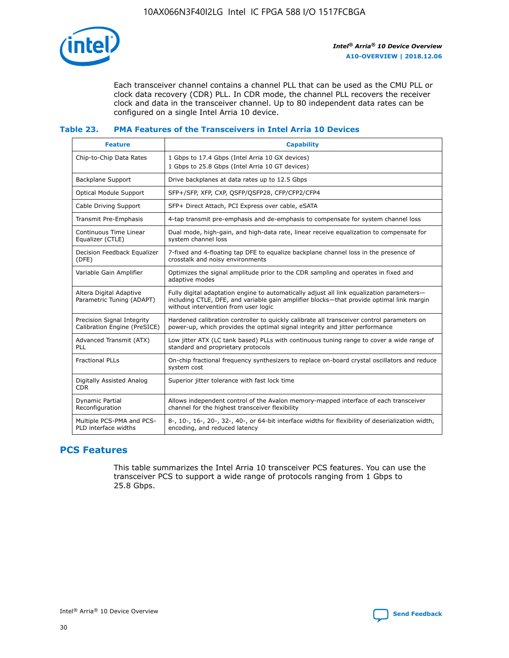

Each transceiver channel contains a channel PLL that can be used as the CMU PLL or clock data recovery (CDR) PLL. In CDR mode, the channel PLL recovers the receiver clock and data in the transceiver channel. Up to 80 independent data rates can be configured on a single Intel Arria 10 device.

## **Table 23. PMA Features of the Transceivers in Intel Arria 10 Devices**

| <b>Feature</b>                                             | <b>Capability</b>                                                                                                                                                                                                             |
|------------------------------------------------------------|-------------------------------------------------------------------------------------------------------------------------------------------------------------------------------------------------------------------------------|
| Chip-to-Chip Data Rates                                    | 1 Gbps to 17.4 Gbps (Intel Arria 10 GX devices)<br>1 Gbps to 25.8 Gbps (Intel Arria 10 GT devices)                                                                                                                            |
| Backplane Support                                          | Drive backplanes at data rates up to 12.5 Gbps                                                                                                                                                                                |
| Optical Module Support                                     | SFP+/SFP, XFP, CXP, QSFP/QSFP28, CFP/CFP2/CFP4                                                                                                                                                                                |
| Cable Driving Support                                      | SFP+ Direct Attach, PCI Express over cable, eSATA                                                                                                                                                                             |
| Transmit Pre-Emphasis                                      | 4-tap transmit pre-emphasis and de-emphasis to compensate for system channel loss                                                                                                                                             |
| Continuous Time Linear<br>Equalizer (CTLE)                 | Dual mode, high-gain, and high-data rate, linear receive equalization to compensate for<br>system channel loss                                                                                                                |
| Decision Feedback Equalizer<br>(DFE)                       | 7-fixed and 4-floating tap DFE to equalize backplane channel loss in the presence of<br>crosstalk and noisy environments                                                                                                      |
| Variable Gain Amplifier                                    | Optimizes the signal amplitude prior to the CDR sampling and operates in fixed and<br>adaptive modes                                                                                                                          |
| Altera Digital Adaptive<br>Parametric Tuning (ADAPT)       | Fully digital adaptation engine to automatically adjust all link equalization parameters-<br>including CTLE, DFE, and variable gain amplifier blocks—that provide optimal link margin<br>without intervention from user logic |
| Precision Signal Integrity<br>Calibration Engine (PreSICE) | Hardened calibration controller to quickly calibrate all transceiver control parameters on<br>power-up, which provides the optimal signal integrity and jitter performance                                                    |
| Advanced Transmit (ATX)<br><b>PLL</b>                      | Low jitter ATX (LC tank based) PLLs with continuous tuning range to cover a wide range of<br>standard and proprietary protocols                                                                                               |
| <b>Fractional PLLs</b>                                     | On-chip fractional frequency synthesizers to replace on-board crystal oscillators and reduce<br>system cost                                                                                                                   |
| Digitally Assisted Analog<br><b>CDR</b>                    | Superior jitter tolerance with fast lock time                                                                                                                                                                                 |
| Dynamic Partial<br>Reconfiguration                         | Allows independent control of the Avalon memory-mapped interface of each transceiver<br>channel for the highest transceiver flexibility                                                                                       |
| Multiple PCS-PMA and PCS-<br>PLD interface widths          | 8-, 10-, 16-, 20-, 32-, 40-, or 64-bit interface widths for flexibility of deserialization width,<br>encoding, and reduced latency                                                                                            |

# **PCS Features**

This table summarizes the Intel Arria 10 transceiver PCS features. You can use the transceiver PCS to support a wide range of protocols ranging from 1 Gbps to 25.8 Gbps.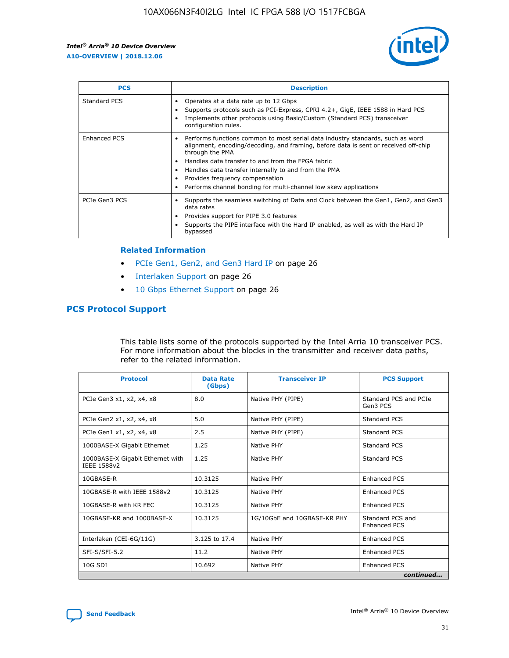

| <b>PCS</b>          | <b>Description</b>                                                                                                                                                                                                                                                                                                                                                                                             |
|---------------------|----------------------------------------------------------------------------------------------------------------------------------------------------------------------------------------------------------------------------------------------------------------------------------------------------------------------------------------------------------------------------------------------------------------|
| Standard PCS        | Operates at a data rate up to 12 Gbps<br>Supports protocols such as PCI-Express, CPRI 4.2+, GigE, IEEE 1588 in Hard PCS<br>Implements other protocols using Basic/Custom (Standard PCS) transceiver<br>configuration rules.                                                                                                                                                                                    |
| <b>Enhanced PCS</b> | Performs functions common to most serial data industry standards, such as word<br>alignment, encoding/decoding, and framing, before data is sent or received off-chip<br>through the PMA<br>• Handles data transfer to and from the FPGA fabric<br>Handles data transfer internally to and from the PMA<br>Provides frequency compensation<br>Performs channel bonding for multi-channel low skew applications |
| PCIe Gen3 PCS       | Supports the seamless switching of Data and Clock between the Gen1, Gen2, and Gen3<br>data rates<br>Provides support for PIPE 3.0 features<br>Supports the PIPE interface with the Hard IP enabled, as well as with the Hard IP<br>bypassed                                                                                                                                                                    |

#### **Related Information**

- PCIe Gen1, Gen2, and Gen3 Hard IP on page 26
- Interlaken Support on page 26
- 10 Gbps Ethernet Support on page 26

# **PCS Protocol Support**

This table lists some of the protocols supported by the Intel Arria 10 transceiver PCS. For more information about the blocks in the transmitter and receiver data paths, refer to the related information.

| <b>Protocol</b>                                 | <b>Data Rate</b><br>(Gbps) | <b>Transceiver IP</b>       | <b>PCS Support</b>                      |
|-------------------------------------------------|----------------------------|-----------------------------|-----------------------------------------|
| PCIe Gen3 x1, x2, x4, x8                        | 8.0                        | Native PHY (PIPE)           | Standard PCS and PCIe<br>Gen3 PCS       |
| PCIe Gen2 x1, x2, x4, x8                        | 5.0                        | Native PHY (PIPE)           | <b>Standard PCS</b>                     |
| PCIe Gen1 x1, x2, x4, x8                        | 2.5                        | Native PHY (PIPE)           | Standard PCS                            |
| 1000BASE-X Gigabit Ethernet                     | 1.25                       | Native PHY                  | <b>Standard PCS</b>                     |
| 1000BASE-X Gigabit Ethernet with<br>IEEE 1588v2 | 1.25                       | Native PHY                  | Standard PCS                            |
| 10GBASE-R                                       | 10.3125                    | Native PHY                  | <b>Enhanced PCS</b>                     |
| 10GBASE-R with IEEE 1588v2                      | 10.3125                    | Native PHY                  | <b>Enhanced PCS</b>                     |
| 10GBASE-R with KR FEC                           | 10.3125                    | Native PHY                  | <b>Enhanced PCS</b>                     |
| 10GBASE-KR and 1000BASE-X                       | 10.3125                    | 1G/10GbE and 10GBASE-KR PHY | Standard PCS and<br><b>Enhanced PCS</b> |
| Interlaken (CEI-6G/11G)                         | 3.125 to 17.4              | Native PHY                  | <b>Enhanced PCS</b>                     |
| SFI-S/SFI-5.2                                   | 11.2                       | Native PHY                  | <b>Enhanced PCS</b>                     |
| $10G$ SDI                                       | 10.692                     | Native PHY                  | <b>Enhanced PCS</b>                     |
|                                                 |                            |                             | continued                               |

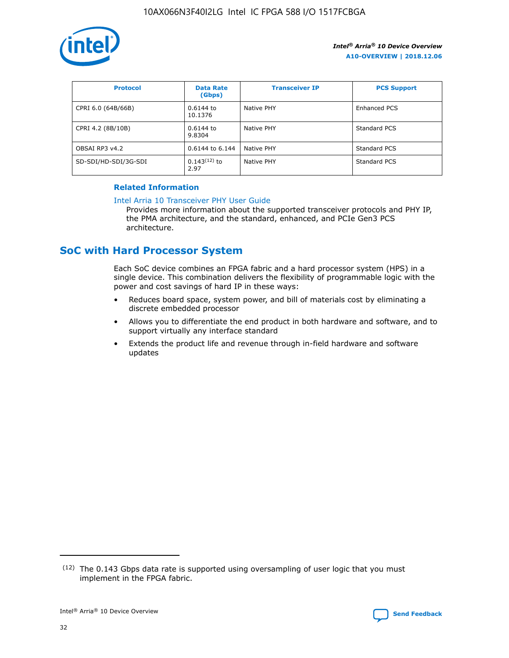

| <b>Protocol</b>      | <b>Data Rate</b><br>(Gbps) | <b>Transceiver IP</b> | <b>PCS Support</b> |
|----------------------|----------------------------|-----------------------|--------------------|
| CPRI 6.0 (64B/66B)   | 0.6144 to<br>10.1376       | Native PHY            | Enhanced PCS       |
| CPRI 4.2 (8B/10B)    | $0.6144$ to<br>9.8304      | Native PHY            | Standard PCS       |
| OBSAI RP3 v4.2       | 0.6144 to 6.144            | Native PHY            | Standard PCS       |
| SD-SDI/HD-SDI/3G-SDI | $0.143(12)$ to<br>2.97     | Native PHY            | Standard PCS       |

## **Related Information**

#### [Intel Arria 10 Transceiver PHY User Guide](https://www.intel.com/content/www/us/en/programmable/documentation/nik1398707230472.html#nik1398707091164)

Provides more information about the supported transceiver protocols and PHY IP, the PMA architecture, and the standard, enhanced, and PCIe Gen3 PCS architecture.

# **SoC with Hard Processor System**

Each SoC device combines an FPGA fabric and a hard processor system (HPS) in a single device. This combination delivers the flexibility of programmable logic with the power and cost savings of hard IP in these ways:

- Reduces board space, system power, and bill of materials cost by eliminating a discrete embedded processor
- Allows you to differentiate the end product in both hardware and software, and to support virtually any interface standard
- Extends the product life and revenue through in-field hardware and software updates

 $(12)$  The 0.143 Gbps data rate is supported using oversampling of user logic that you must implement in the FPGA fabric.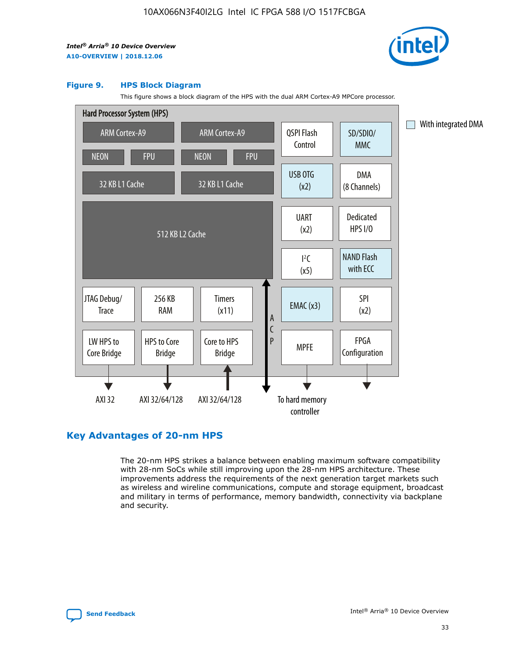

#### **Figure 9. HPS Block Diagram**

This figure shows a block diagram of the HPS with the dual ARM Cortex-A9 MPCore processor.



# **Key Advantages of 20-nm HPS**

The 20-nm HPS strikes a balance between enabling maximum software compatibility with 28-nm SoCs while still improving upon the 28-nm HPS architecture. These improvements address the requirements of the next generation target markets such as wireless and wireline communications, compute and storage equipment, broadcast and military in terms of performance, memory bandwidth, connectivity via backplane and security.

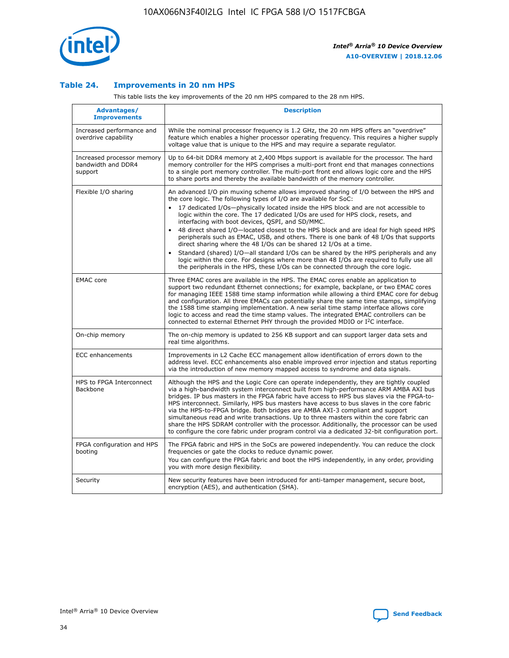

## **Table 24. Improvements in 20 nm HPS**

This table lists the key improvements of the 20 nm HPS compared to the 28 nm HPS.

| Advantages/<br><b>Improvements</b>                          | <b>Description</b>                                                                                                                                                                                                                                                                                                                                                                                                                                                                                                                                                                                                                                                                                                                                                                                                                                                                                                      |
|-------------------------------------------------------------|-------------------------------------------------------------------------------------------------------------------------------------------------------------------------------------------------------------------------------------------------------------------------------------------------------------------------------------------------------------------------------------------------------------------------------------------------------------------------------------------------------------------------------------------------------------------------------------------------------------------------------------------------------------------------------------------------------------------------------------------------------------------------------------------------------------------------------------------------------------------------------------------------------------------------|
| Increased performance and<br>overdrive capability           | While the nominal processor frequency is 1.2 GHz, the 20 nm HPS offers an "overdrive"<br>feature which enables a higher processor operating frequency. This requires a higher supply<br>voltage value that is unique to the HPS and may require a separate regulator.                                                                                                                                                                                                                                                                                                                                                                                                                                                                                                                                                                                                                                                   |
| Increased processor memory<br>bandwidth and DDR4<br>support | Up to 64-bit DDR4 memory at 2,400 Mbps support is available for the processor. The hard<br>memory controller for the HPS comprises a multi-port front end that manages connections<br>to a single port memory controller. The multi-port front end allows logic core and the HPS<br>to share ports and thereby the available bandwidth of the memory controller.                                                                                                                                                                                                                                                                                                                                                                                                                                                                                                                                                        |
| Flexible I/O sharing                                        | An advanced I/O pin muxing scheme allows improved sharing of I/O between the HPS and<br>the core logic. The following types of I/O are available for SoC:<br>17 dedicated I/Os-physically located inside the HPS block and are not accessible to<br>logic within the core. The 17 dedicated I/Os are used for HPS clock, resets, and<br>interfacing with boot devices, QSPI, and SD/MMC.<br>48 direct shared I/O-located closest to the HPS block and are ideal for high speed HPS<br>peripherals such as EMAC, USB, and others. There is one bank of 48 I/Os that supports<br>direct sharing where the 48 I/Os can be shared 12 I/Os at a time.<br>Standard (shared) I/O-all standard I/Os can be shared by the HPS peripherals and any<br>logic within the core. For designs where more than 48 I/Os are reguired to fully use all<br>the peripherals in the HPS, these I/Os can be connected through the core logic. |
| <b>EMAC</b> core                                            | Three EMAC cores are available in the HPS. The EMAC cores enable an application to<br>support two redundant Ethernet connections; for example, backplane, or two EMAC cores<br>for managing IEEE 1588 time stamp information while allowing a third EMAC core for debug<br>and configuration. All three EMACs can potentially share the same time stamps, simplifying<br>the 1588 time stamping implementation. A new serial time stamp interface allows core<br>logic to access and read the time stamp values. The integrated EMAC controllers can be<br>connected to external Ethernet PHY through the provided MDIO or I <sup>2</sup> C interface.                                                                                                                                                                                                                                                                  |
| On-chip memory                                              | The on-chip memory is updated to 256 KB support and can support larger data sets and<br>real time algorithms.                                                                                                                                                                                                                                                                                                                                                                                                                                                                                                                                                                                                                                                                                                                                                                                                           |
| <b>ECC</b> enhancements                                     | Improvements in L2 Cache ECC management allow identification of errors down to the<br>address level. ECC enhancements also enable improved error injection and status reporting<br>via the introduction of new memory mapped access to syndrome and data signals.                                                                                                                                                                                                                                                                                                                                                                                                                                                                                                                                                                                                                                                       |
| HPS to FPGA Interconnect<br>Backbone                        | Although the HPS and the Logic Core can operate independently, they are tightly coupled<br>via a high-bandwidth system interconnect built from high-performance ARM AMBA AXI bus<br>bridges. IP bus masters in the FPGA fabric have access to HPS bus slaves via the FPGA-to-<br>HPS interconnect. Similarly, HPS bus masters have access to bus slaves in the core fabric<br>via the HPS-to-FPGA bridge. Both bridges are AMBA AXI-3 compliant and support<br>simultaneous read and write transactions. Up to three masters within the core fabric can<br>share the HPS SDRAM controller with the processor. Additionally, the processor can be used<br>to configure the core fabric under program control via a dedicated 32-bit configuration port.                                                                                                                                                                  |
| FPGA configuration and HPS<br>booting                       | The FPGA fabric and HPS in the SoCs are powered independently. You can reduce the clock<br>frequencies or gate the clocks to reduce dynamic power.<br>You can configure the FPGA fabric and boot the HPS independently, in any order, providing<br>you with more design flexibility.                                                                                                                                                                                                                                                                                                                                                                                                                                                                                                                                                                                                                                    |
| Security                                                    | New security features have been introduced for anti-tamper management, secure boot,<br>encryption (AES), and authentication (SHA).                                                                                                                                                                                                                                                                                                                                                                                                                                                                                                                                                                                                                                                                                                                                                                                      |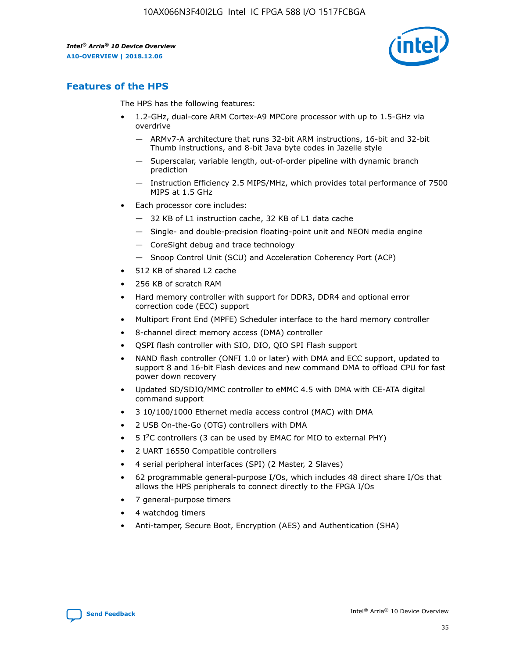

# **Features of the HPS**

The HPS has the following features:

- 1.2-GHz, dual-core ARM Cortex-A9 MPCore processor with up to 1.5-GHz via overdrive
	- ARMv7-A architecture that runs 32-bit ARM instructions, 16-bit and 32-bit Thumb instructions, and 8-bit Java byte codes in Jazelle style
	- Superscalar, variable length, out-of-order pipeline with dynamic branch prediction
	- Instruction Efficiency 2.5 MIPS/MHz, which provides total performance of 7500 MIPS at 1.5 GHz
- Each processor core includes:
	- 32 KB of L1 instruction cache, 32 KB of L1 data cache
	- Single- and double-precision floating-point unit and NEON media engine
	- CoreSight debug and trace technology
	- Snoop Control Unit (SCU) and Acceleration Coherency Port (ACP)
- 512 KB of shared L2 cache
- 256 KB of scratch RAM
- Hard memory controller with support for DDR3, DDR4 and optional error correction code (ECC) support
- Multiport Front End (MPFE) Scheduler interface to the hard memory controller
- 8-channel direct memory access (DMA) controller
- QSPI flash controller with SIO, DIO, QIO SPI Flash support
- NAND flash controller (ONFI 1.0 or later) with DMA and ECC support, updated to support 8 and 16-bit Flash devices and new command DMA to offload CPU for fast power down recovery
- Updated SD/SDIO/MMC controller to eMMC 4.5 with DMA with CE-ATA digital command support
- 3 10/100/1000 Ethernet media access control (MAC) with DMA
- 2 USB On-the-Go (OTG) controllers with DMA
- $\bullet$  5 I<sup>2</sup>C controllers (3 can be used by EMAC for MIO to external PHY)
- 2 UART 16550 Compatible controllers
- 4 serial peripheral interfaces (SPI) (2 Master, 2 Slaves)
- 62 programmable general-purpose I/Os, which includes 48 direct share I/Os that allows the HPS peripherals to connect directly to the FPGA I/Os
- 7 general-purpose timers
- 4 watchdog timers
- Anti-tamper, Secure Boot, Encryption (AES) and Authentication (SHA)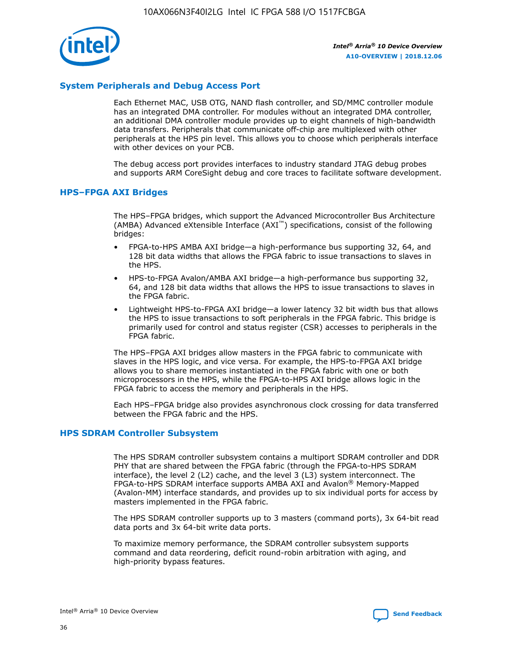

# **System Peripherals and Debug Access Port**

Each Ethernet MAC, USB OTG, NAND flash controller, and SD/MMC controller module has an integrated DMA controller. For modules without an integrated DMA controller, an additional DMA controller module provides up to eight channels of high-bandwidth data transfers. Peripherals that communicate off-chip are multiplexed with other peripherals at the HPS pin level. This allows you to choose which peripherals interface with other devices on your PCB.

The debug access port provides interfaces to industry standard JTAG debug probes and supports ARM CoreSight debug and core traces to facilitate software development.

#### **HPS–FPGA AXI Bridges**

The HPS–FPGA bridges, which support the Advanced Microcontroller Bus Architecture (AMBA) Advanced eXtensible Interface (AXI™) specifications, consist of the following bridges:

- FPGA-to-HPS AMBA AXI bridge—a high-performance bus supporting 32, 64, and 128 bit data widths that allows the FPGA fabric to issue transactions to slaves in the HPS.
- HPS-to-FPGA Avalon/AMBA AXI bridge—a high-performance bus supporting 32, 64, and 128 bit data widths that allows the HPS to issue transactions to slaves in the FPGA fabric.
- Lightweight HPS-to-FPGA AXI bridge—a lower latency 32 bit width bus that allows the HPS to issue transactions to soft peripherals in the FPGA fabric. This bridge is primarily used for control and status register (CSR) accesses to peripherals in the FPGA fabric.

The HPS–FPGA AXI bridges allow masters in the FPGA fabric to communicate with slaves in the HPS logic, and vice versa. For example, the HPS-to-FPGA AXI bridge allows you to share memories instantiated in the FPGA fabric with one or both microprocessors in the HPS, while the FPGA-to-HPS AXI bridge allows logic in the FPGA fabric to access the memory and peripherals in the HPS.

Each HPS–FPGA bridge also provides asynchronous clock crossing for data transferred between the FPGA fabric and the HPS.

#### **HPS SDRAM Controller Subsystem**

The HPS SDRAM controller subsystem contains a multiport SDRAM controller and DDR PHY that are shared between the FPGA fabric (through the FPGA-to-HPS SDRAM interface), the level 2 (L2) cache, and the level 3 (L3) system interconnect. The FPGA-to-HPS SDRAM interface supports AMBA AXI and Avalon® Memory-Mapped (Avalon-MM) interface standards, and provides up to six individual ports for access by masters implemented in the FPGA fabric.

The HPS SDRAM controller supports up to 3 masters (command ports), 3x 64-bit read data ports and 3x 64-bit write data ports.

To maximize memory performance, the SDRAM controller subsystem supports command and data reordering, deficit round-robin arbitration with aging, and high-priority bypass features.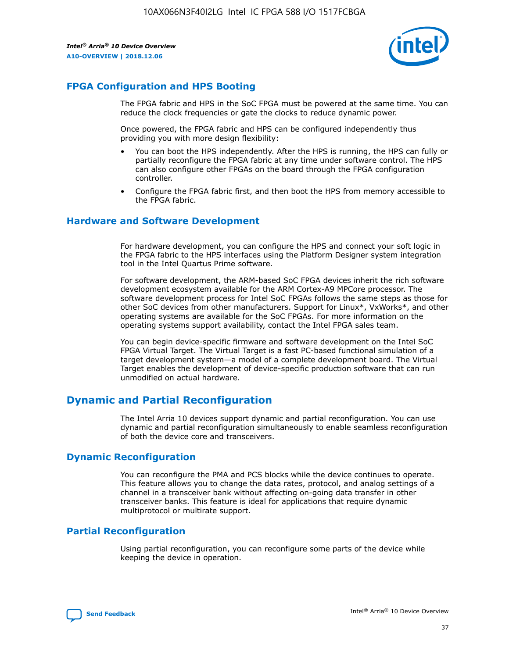

# **FPGA Configuration and HPS Booting**

The FPGA fabric and HPS in the SoC FPGA must be powered at the same time. You can reduce the clock frequencies or gate the clocks to reduce dynamic power.

Once powered, the FPGA fabric and HPS can be configured independently thus providing you with more design flexibility:

- You can boot the HPS independently. After the HPS is running, the HPS can fully or partially reconfigure the FPGA fabric at any time under software control. The HPS can also configure other FPGAs on the board through the FPGA configuration controller.
- Configure the FPGA fabric first, and then boot the HPS from memory accessible to the FPGA fabric.

## **Hardware and Software Development**

For hardware development, you can configure the HPS and connect your soft logic in the FPGA fabric to the HPS interfaces using the Platform Designer system integration tool in the Intel Quartus Prime software.

For software development, the ARM-based SoC FPGA devices inherit the rich software development ecosystem available for the ARM Cortex-A9 MPCore processor. The software development process for Intel SoC FPGAs follows the same steps as those for other SoC devices from other manufacturers. Support for Linux\*, VxWorks\*, and other operating systems are available for the SoC FPGAs. For more information on the operating systems support availability, contact the Intel FPGA sales team.

You can begin device-specific firmware and software development on the Intel SoC FPGA Virtual Target. The Virtual Target is a fast PC-based functional simulation of a target development system—a model of a complete development board. The Virtual Target enables the development of device-specific production software that can run unmodified on actual hardware.

# **Dynamic and Partial Reconfiguration**

The Intel Arria 10 devices support dynamic and partial reconfiguration. You can use dynamic and partial reconfiguration simultaneously to enable seamless reconfiguration of both the device core and transceivers.

# **Dynamic Reconfiguration**

You can reconfigure the PMA and PCS blocks while the device continues to operate. This feature allows you to change the data rates, protocol, and analog settings of a channel in a transceiver bank without affecting on-going data transfer in other transceiver banks. This feature is ideal for applications that require dynamic multiprotocol or multirate support.

# **Partial Reconfiguration**

Using partial reconfiguration, you can reconfigure some parts of the device while keeping the device in operation.

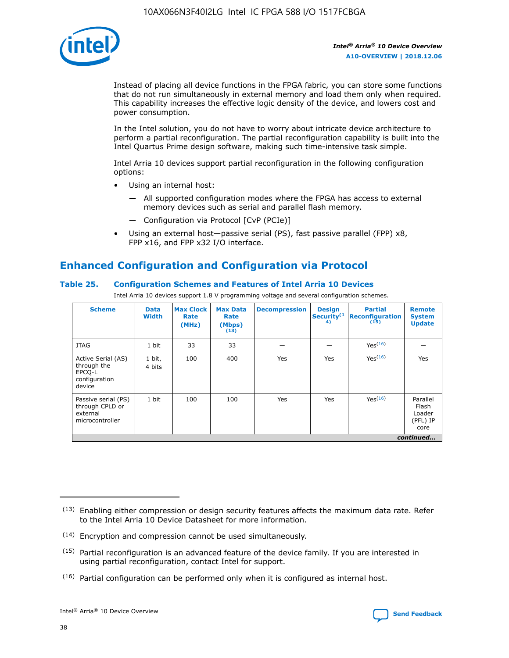

Instead of placing all device functions in the FPGA fabric, you can store some functions that do not run simultaneously in external memory and load them only when required. This capability increases the effective logic density of the device, and lowers cost and power consumption.

In the Intel solution, you do not have to worry about intricate device architecture to perform a partial reconfiguration. The partial reconfiguration capability is built into the Intel Quartus Prime design software, making such time-intensive task simple.

Intel Arria 10 devices support partial reconfiguration in the following configuration options:

- Using an internal host:
	- All supported configuration modes where the FPGA has access to external memory devices such as serial and parallel flash memory.
	- Configuration via Protocol [CvP (PCIe)]
- Using an external host—passive serial (PS), fast passive parallel (FPP) x8, FPP x16, and FPP x32 I/O interface.

# **Enhanced Configuration and Configuration via Protocol**

# **Table 25. Configuration Schemes and Features of Intel Arria 10 Devices**

Intel Arria 10 devices support 1.8 V programming voltage and several configuration schemes.

| <b>Scheme</b>                                                          | <b>Data</b><br><b>Width</b> | <b>Max Clock</b><br>Rate<br>(MHz) | <b>Max Data</b><br>Rate<br>(Mbps)<br>(13) | <b>Decompression</b> | <b>Design</b><br>Security <sup>(1</sup><br>4) | <b>Partial</b><br><b>Reconfiguration</b><br>(15) | <b>Remote</b><br><b>System</b><br><b>Update</b> |
|------------------------------------------------------------------------|-----------------------------|-----------------------------------|-------------------------------------------|----------------------|-----------------------------------------------|--------------------------------------------------|-------------------------------------------------|
| <b>JTAG</b>                                                            | 1 bit                       | 33                                | 33                                        |                      |                                               | Yes(16)                                          |                                                 |
| Active Serial (AS)<br>through the<br>EPCO-L<br>configuration<br>device | 1 bit,<br>4 bits            | 100                               | 400                                       | Yes                  | Yes                                           | $Y_{PS}(16)$                                     | Yes                                             |
| Passive serial (PS)<br>through CPLD or<br>external<br>microcontroller  | 1 bit                       | 100                               | 100                                       | Yes                  | Yes                                           | Yes(16)                                          | Parallel<br>Flash<br>Loader<br>(PFL) IP<br>core |
|                                                                        |                             |                                   |                                           |                      |                                               |                                                  | continued                                       |

<sup>(13)</sup> Enabling either compression or design security features affects the maximum data rate. Refer to the Intel Arria 10 Device Datasheet for more information.

<sup>(14)</sup> Encryption and compression cannot be used simultaneously.

 $<sup>(15)</sup>$  Partial reconfiguration is an advanced feature of the device family. If you are interested in</sup> using partial reconfiguration, contact Intel for support.

 $(16)$  Partial configuration can be performed only when it is configured as internal host.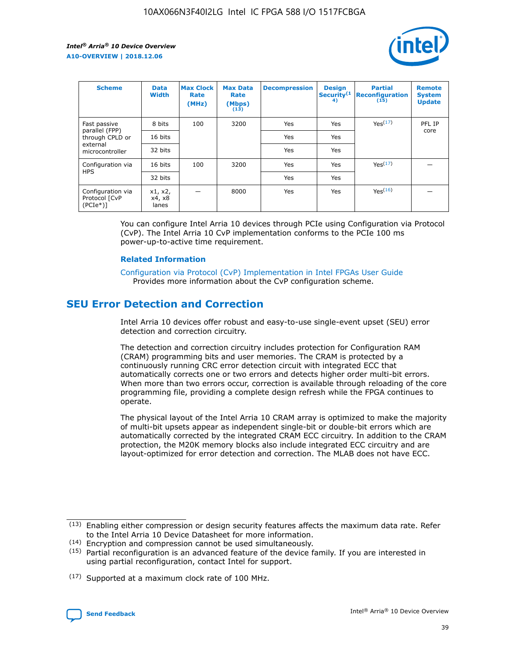

| <b>Scheme</b>                                    | <b>Data</b><br><b>Width</b> | <b>Max Clock</b><br>Rate<br>(MHz) | <b>Max Data</b><br>Rate<br>(Mbps)<br>(13) | <b>Decompression</b> | <b>Design</b><br>Security <sup>(1</sup><br>4) | <b>Partial</b><br><b>Reconfiguration</b><br>(15) | <b>Remote</b><br><b>System</b><br><b>Update</b> |
|--------------------------------------------------|-----------------------------|-----------------------------------|-------------------------------------------|----------------------|-----------------------------------------------|--------------------------------------------------|-------------------------------------------------|
| Fast passive                                     | 8 bits                      | 100                               | 3200                                      | Yes                  | Yes                                           | Yes(17)                                          | PFL IP                                          |
| parallel (FPP)<br>through CPLD or                | 16 bits                     |                                   |                                           | Yes                  | Yes                                           |                                                  | core                                            |
| external<br>microcontroller                      | 32 bits                     |                                   |                                           | Yes                  | Yes                                           |                                                  |                                                 |
| Configuration via                                | 16 bits                     | 100                               | 3200                                      | Yes                  | Yes                                           | Yes <sup>(17)</sup>                              |                                                 |
| <b>HPS</b>                                       | 32 bits                     |                                   |                                           | Yes                  | Yes                                           |                                                  |                                                 |
| Configuration via<br>Protocol [CvP<br>$(PCIe^*)$ | x1, x2,<br>x4, x8<br>lanes  |                                   | 8000                                      | Yes                  | Yes                                           | Yes(16)                                          |                                                 |

You can configure Intel Arria 10 devices through PCIe using Configuration via Protocol (CvP). The Intel Arria 10 CvP implementation conforms to the PCIe 100 ms power-up-to-active time requirement.

## **Related Information**

[Configuration via Protocol \(CvP\) Implementation in Intel FPGAs User Guide](https://www.intel.com/content/www/us/en/programmable/documentation/dsu1441819344145.html#dsu1442269728522) Provides more information about the CvP configuration scheme.

# **SEU Error Detection and Correction**

Intel Arria 10 devices offer robust and easy-to-use single-event upset (SEU) error detection and correction circuitry.

The detection and correction circuitry includes protection for Configuration RAM (CRAM) programming bits and user memories. The CRAM is protected by a continuously running CRC error detection circuit with integrated ECC that automatically corrects one or two errors and detects higher order multi-bit errors. When more than two errors occur, correction is available through reloading of the core programming file, providing a complete design refresh while the FPGA continues to operate.

The physical layout of the Intel Arria 10 CRAM array is optimized to make the majority of multi-bit upsets appear as independent single-bit or double-bit errors which are automatically corrected by the integrated CRAM ECC circuitry. In addition to the CRAM protection, the M20K memory blocks also include integrated ECC circuitry and are layout-optimized for error detection and correction. The MLAB does not have ECC.

(14) Encryption and compression cannot be used simultaneously.

<sup>(17)</sup> Supported at a maximum clock rate of 100 MHz.



 $(13)$  Enabling either compression or design security features affects the maximum data rate. Refer to the Intel Arria 10 Device Datasheet for more information.

 $(15)$  Partial reconfiguration is an advanced feature of the device family. If you are interested in using partial reconfiguration, contact Intel for support.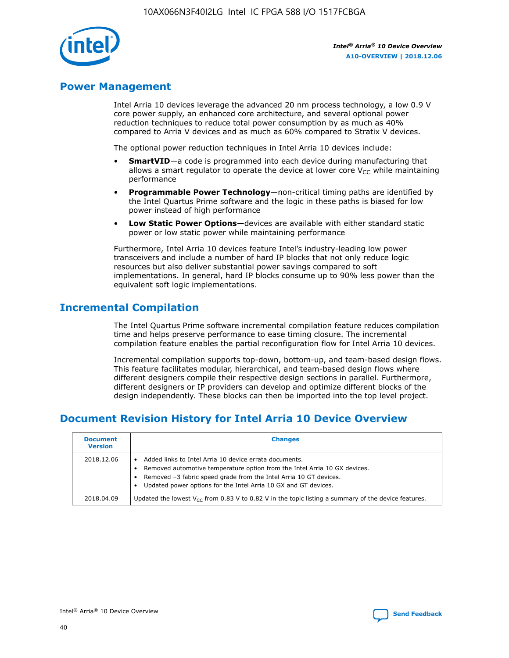

# **Power Management**

Intel Arria 10 devices leverage the advanced 20 nm process technology, a low 0.9 V core power supply, an enhanced core architecture, and several optional power reduction techniques to reduce total power consumption by as much as 40% compared to Arria V devices and as much as 60% compared to Stratix V devices.

The optional power reduction techniques in Intel Arria 10 devices include:

- **SmartVID**—a code is programmed into each device during manufacturing that allows a smart regulator to operate the device at lower core  $V_{CC}$  while maintaining performance
- **Programmable Power Technology**—non-critical timing paths are identified by the Intel Quartus Prime software and the logic in these paths is biased for low power instead of high performance
- **Low Static Power Options**—devices are available with either standard static power or low static power while maintaining performance

Furthermore, Intel Arria 10 devices feature Intel's industry-leading low power transceivers and include a number of hard IP blocks that not only reduce logic resources but also deliver substantial power savings compared to soft implementations. In general, hard IP blocks consume up to 90% less power than the equivalent soft logic implementations.

# **Incremental Compilation**

The Intel Quartus Prime software incremental compilation feature reduces compilation time and helps preserve performance to ease timing closure. The incremental compilation feature enables the partial reconfiguration flow for Intel Arria 10 devices.

Incremental compilation supports top-down, bottom-up, and team-based design flows. This feature facilitates modular, hierarchical, and team-based design flows where different designers compile their respective design sections in parallel. Furthermore, different designers or IP providers can develop and optimize different blocks of the design independently. These blocks can then be imported into the top level project.

# **Document Revision History for Intel Arria 10 Device Overview**

| <b>Document</b><br><b>Version</b> | <b>Changes</b>                                                                                                                                                                                                                                                              |
|-----------------------------------|-----------------------------------------------------------------------------------------------------------------------------------------------------------------------------------------------------------------------------------------------------------------------------|
| 2018.12.06                        | Added links to Intel Arria 10 device errata documents.<br>Removed automotive temperature option from the Intel Arria 10 GX devices.<br>Removed -3 fabric speed grade from the Intel Arria 10 GT devices.<br>Updated power options for the Intel Arria 10 GX and GT devices. |
| 2018.04.09                        | Updated the lowest $V_{CC}$ from 0.83 V to 0.82 V in the topic listing a summary of the device features.                                                                                                                                                                    |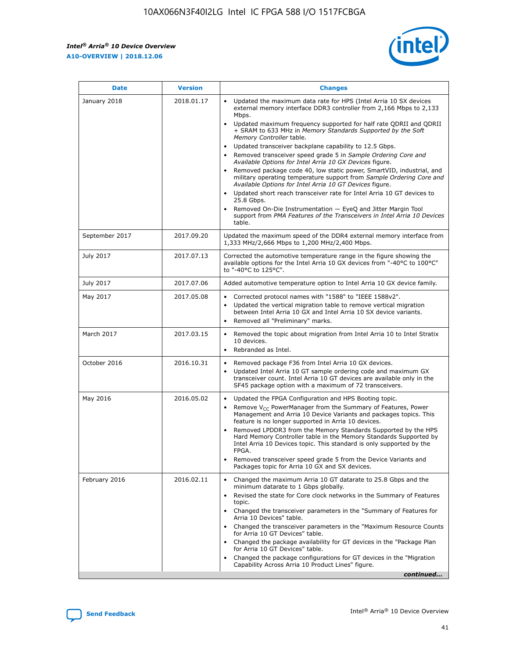

| <b>Date</b>    | <b>Version</b> | <b>Changes</b>                                                                                                                                                                                                                                                                                                                                                                                                                                                                                                                                                                                                                                                                                                                                                                                                                                                                                                                                               |
|----------------|----------------|--------------------------------------------------------------------------------------------------------------------------------------------------------------------------------------------------------------------------------------------------------------------------------------------------------------------------------------------------------------------------------------------------------------------------------------------------------------------------------------------------------------------------------------------------------------------------------------------------------------------------------------------------------------------------------------------------------------------------------------------------------------------------------------------------------------------------------------------------------------------------------------------------------------------------------------------------------------|
| January 2018   | 2018.01.17     | Updated the maximum data rate for HPS (Intel Arria 10 SX devices<br>external memory interface DDR3 controller from 2,166 Mbps to 2,133<br>Mbps.<br>Updated maximum frequency supported for half rate QDRII and QDRII<br>+ SRAM to 633 MHz in Memory Standards Supported by the Soft<br>Memory Controller table.<br>Updated transceiver backplane capability to 12.5 Gbps.<br>Removed transceiver speed grade 5 in Sample Ordering Core and<br>Available Options for Intel Arria 10 GX Devices figure.<br>Removed package code 40, low static power, SmartVID, industrial, and<br>military operating temperature support from Sample Ordering Core and<br>Available Options for Intel Arria 10 GT Devices figure.<br>Updated short reach transceiver rate for Intel Arria 10 GT devices to<br>25.8 Gbps.<br>Removed On-Die Instrumentation - EyeQ and Jitter Margin Tool<br>support from PMA Features of the Transceivers in Intel Arria 10 Devices<br>table. |
| September 2017 | 2017.09.20     | Updated the maximum speed of the DDR4 external memory interface from<br>1,333 MHz/2,666 Mbps to 1,200 MHz/2,400 Mbps.                                                                                                                                                                                                                                                                                                                                                                                                                                                                                                                                                                                                                                                                                                                                                                                                                                        |
| July 2017      | 2017.07.13     | Corrected the automotive temperature range in the figure showing the<br>available options for the Intel Arria 10 GX devices from "-40°C to 100°C"<br>to "-40°C to 125°C".                                                                                                                                                                                                                                                                                                                                                                                                                                                                                                                                                                                                                                                                                                                                                                                    |
| July 2017      | 2017.07.06     | Added automotive temperature option to Intel Arria 10 GX device family.                                                                                                                                                                                                                                                                                                                                                                                                                                                                                                                                                                                                                                                                                                                                                                                                                                                                                      |
| May 2017       | 2017.05.08     | Corrected protocol names with "1588" to "IEEE 1588v2".<br>$\bullet$<br>Updated the vertical migration table to remove vertical migration<br>$\bullet$<br>between Intel Arria 10 GX and Intel Arria 10 SX device variants.<br>Removed all "Preliminary" marks.<br>$\bullet$                                                                                                                                                                                                                                                                                                                                                                                                                                                                                                                                                                                                                                                                                   |
| March 2017     | 2017.03.15     | Removed the topic about migration from Intel Arria 10 to Intel Stratix<br>$\bullet$<br>10 devices.<br>Rebranded as Intel.<br>$\bullet$                                                                                                                                                                                                                                                                                                                                                                                                                                                                                                                                                                                                                                                                                                                                                                                                                       |
| October 2016   | 2016.10.31     | Removed package F36 from Intel Arria 10 GX devices.<br>Updated Intel Arria 10 GT sample ordering code and maximum GX<br>$\bullet$<br>transceiver count. Intel Arria 10 GT devices are available only in the<br>SF45 package option with a maximum of 72 transceivers.                                                                                                                                                                                                                                                                                                                                                                                                                                                                                                                                                                                                                                                                                        |
| May 2016       | 2016.05.02     | Updated the FPGA Configuration and HPS Booting topic.<br>$\bullet$<br>Remove V <sub>CC</sub> PowerManager from the Summary of Features, Power<br>Management and Arria 10 Device Variants and packages topics. This<br>feature is no longer supported in Arria 10 devices.<br>Removed LPDDR3 from the Memory Standards Supported by the HPS<br>Hard Memory Controller table in the Memory Standards Supported by<br>Intel Arria 10 Devices topic. This standard is only supported by the<br><b>FPGA</b><br>Removed transceiver speed grade 5 from the Device Variants and<br>Packages topic for Arria 10 GX and SX devices.                                                                                                                                                                                                                                                                                                                                   |
| February 2016  | 2016.02.11     | Changed the maximum Arria 10 GT datarate to 25.8 Gbps and the<br>$\bullet$<br>minimum datarate to 1 Gbps globally.<br>Revised the state for Core clock networks in the Summary of Features<br>$\bullet$<br>topic.<br>Changed the transceiver parameters in the "Summary of Features for<br>$\bullet$<br>Arria 10 Devices" table.<br>Changed the transceiver parameters in the "Maximum Resource Counts<br>for Arria 10 GT Devices" table.<br>Changed the package availability for GT devices in the "Package Plan<br>for Arria 10 GT Devices" table.<br>Changed the package configurations for GT devices in the "Migration"<br>Capability Across Arria 10 Product Lines" figure.<br>continued                                                                                                                                                                                                                                                               |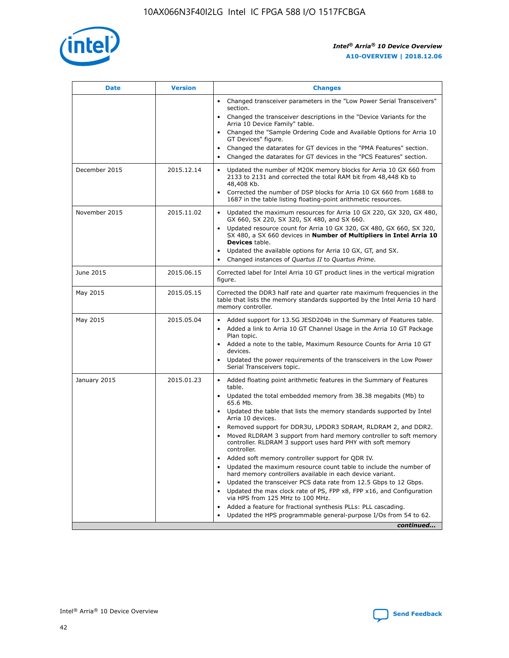

| <b>Date</b>   | <b>Version</b> | <b>Changes</b>                                                                                                                                                                   |
|---------------|----------------|----------------------------------------------------------------------------------------------------------------------------------------------------------------------------------|
|               |                | • Changed transceiver parameters in the "Low Power Serial Transceivers"<br>section.                                                                                              |
|               |                | • Changed the transceiver descriptions in the "Device Variants for the<br>Arria 10 Device Family" table.                                                                         |
|               |                | Changed the "Sample Ordering Code and Available Options for Arria 10<br>GT Devices" figure.                                                                                      |
|               |                | Changed the datarates for GT devices in the "PMA Features" section.                                                                                                              |
|               |                | Changed the datarates for GT devices in the "PCS Features" section.<br>$\bullet$                                                                                                 |
| December 2015 | 2015.12.14     | Updated the number of M20K memory blocks for Arria 10 GX 660 from<br>$\bullet$<br>2133 to 2131 and corrected the total RAM bit from 48,448 Kb to<br>48,408 Kb.                   |
|               |                | Corrected the number of DSP blocks for Arria 10 GX 660 from 1688 to<br>$\bullet$<br>1687 in the table listing floating-point arithmetic resources.                               |
| November 2015 | 2015.11.02     | Updated the maximum resources for Arria 10 GX 220, GX 320, GX 480,<br>$\bullet$<br>GX 660, SX 220, SX 320, SX 480, and SX 660.                                                   |
|               |                | Updated resource count for Arria 10 GX 320, GX 480, GX 660, SX 320,<br>$\bullet$<br>SX 480, a SX 660 devices in Number of Multipliers in Intel Arria 10<br><b>Devices</b> table. |
|               |                | Updated the available options for Arria 10 GX, GT, and SX.<br>$\bullet$                                                                                                          |
|               |                | Changed instances of Quartus II to Quartus Prime.<br>$\bullet$                                                                                                                   |
| June 2015     | 2015.06.15     | Corrected label for Intel Arria 10 GT product lines in the vertical migration<br>figure.                                                                                         |
| May 2015      | 2015.05.15     | Corrected the DDR3 half rate and quarter rate maximum frequencies in the<br>table that lists the memory standards supported by the Intel Arria 10 hard<br>memory controller.     |
| May 2015      | 2015.05.04     | • Added support for 13.5G JESD204b in the Summary of Features table.<br>• Added a link to Arria 10 GT Channel Usage in the Arria 10 GT Package<br>Plan topic.                    |
|               |                | • Added a note to the table, Maximum Resource Counts for Arria 10 GT<br>devices.                                                                                                 |
|               |                | Updated the power requirements of the transceivers in the Low Power<br>Serial Transceivers topic.                                                                                |
| January 2015  | 2015.01.23     | • Added floating point arithmetic features in the Summary of Features<br>table.                                                                                                  |
|               |                | • Updated the total embedded memory from 38.38 megabits (Mb) to<br>65.6 Mb.                                                                                                      |
|               |                | • Updated the table that lists the memory standards supported by Intel<br>Arria 10 devices.                                                                                      |
|               |                | Removed support for DDR3U, LPDDR3 SDRAM, RLDRAM 2, and DDR2.                                                                                                                     |
|               |                | Moved RLDRAM 3 support from hard memory controller to soft memory<br>controller. RLDRAM 3 support uses hard PHY with soft memory<br>controller.                                  |
|               |                | Added soft memory controller support for QDR IV.                                                                                                                                 |
|               |                | Updated the maximum resource count table to include the number of<br>hard memory controllers available in each device variant.                                                   |
|               |                | Updated the transceiver PCS data rate from 12.5 Gbps to 12 Gbps.<br>$\bullet$                                                                                                    |
|               |                | Updated the max clock rate of PS, FPP x8, FPP x16, and Configuration<br>via HPS from 125 MHz to 100 MHz.                                                                         |
|               |                | Added a feature for fractional synthesis PLLs: PLL cascading.                                                                                                                    |
|               |                | Updated the HPS programmable general-purpose I/Os from 54 to 62.                                                                                                                 |
|               |                | continued                                                                                                                                                                        |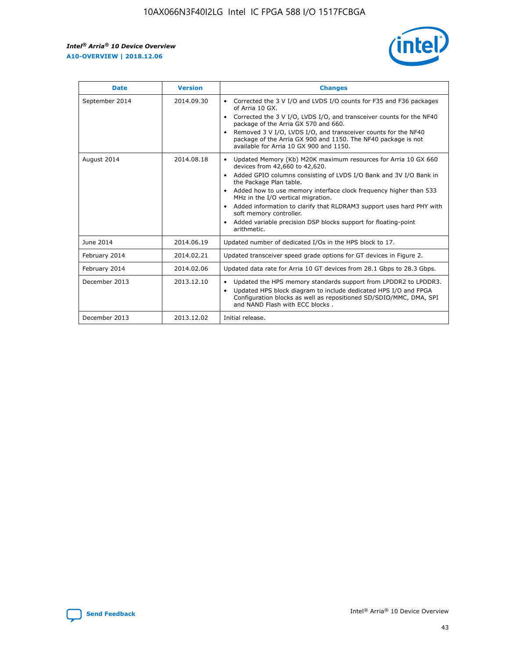r



| <b>Date</b>    | <b>Version</b> | <b>Changes</b>                                                                                                                                                                                                                                                                                                                                                                                                                                                                                                                                      |
|----------------|----------------|-----------------------------------------------------------------------------------------------------------------------------------------------------------------------------------------------------------------------------------------------------------------------------------------------------------------------------------------------------------------------------------------------------------------------------------------------------------------------------------------------------------------------------------------------------|
| September 2014 | 2014.09.30     | Corrected the 3 V I/O and LVDS I/O counts for F35 and F36 packages<br>$\bullet$<br>of Arria 10 GX.<br>Corrected the 3 V I/O, LVDS I/O, and transceiver counts for the NF40<br>$\bullet$<br>package of the Arria GX 570 and 660.<br>Removed 3 V I/O, LVDS I/O, and transceiver counts for the NF40<br>package of the Arria GX 900 and 1150. The NF40 package is not<br>available for Arria 10 GX 900 and 1150.                                                                                                                                       |
| August 2014    | 2014.08.18     | Updated Memory (Kb) M20K maximum resources for Arria 10 GX 660<br>devices from 42,660 to 42,620.<br>Added GPIO columns consisting of LVDS I/O Bank and 3V I/O Bank in<br>$\bullet$<br>the Package Plan table.<br>Added how to use memory interface clock frequency higher than 533<br>$\bullet$<br>MHz in the I/O vertical migration.<br>Added information to clarify that RLDRAM3 support uses hard PHY with<br>$\bullet$<br>soft memory controller.<br>Added variable precision DSP blocks support for floating-point<br>$\bullet$<br>arithmetic. |
| June 2014      | 2014.06.19     | Updated number of dedicated I/Os in the HPS block to 17.                                                                                                                                                                                                                                                                                                                                                                                                                                                                                            |
| February 2014  | 2014.02.21     | Updated transceiver speed grade options for GT devices in Figure 2.                                                                                                                                                                                                                                                                                                                                                                                                                                                                                 |
| February 2014  | 2014.02.06     | Updated data rate for Arria 10 GT devices from 28.1 Gbps to 28.3 Gbps.                                                                                                                                                                                                                                                                                                                                                                                                                                                                              |
| December 2013  | 2013.12.10     | Updated the HPS memory standards support from LPDDR2 to LPDDR3.<br>Updated HPS block diagram to include dedicated HPS I/O and FPGA<br>$\bullet$<br>Configuration blocks as well as repositioned SD/SDIO/MMC, DMA, SPI<br>and NAND Flash with ECC blocks.                                                                                                                                                                                                                                                                                            |
| December 2013  | 2013.12.02     | Initial release.                                                                                                                                                                                                                                                                                                                                                                                                                                                                                                                                    |